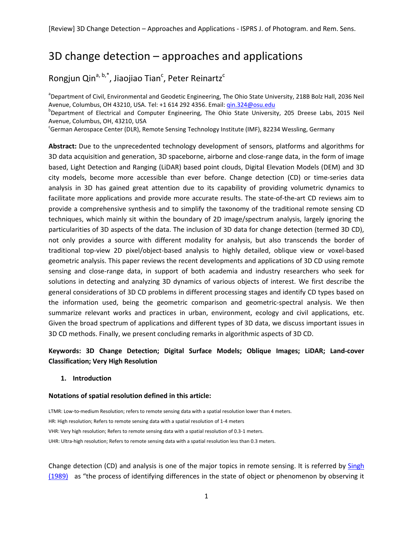# 3D change detection – approaches and applications

# Rongjun Qin<sup>a, b,\*</sup>, Jiaojiao Tian<sup>c</sup>, Peter Reinartz<sup>c</sup>

<sup>a</sup>Department of Civil, Environmental and Geodetic Engineering, The Ohio State University, 218B Bolz Hall, 2036 Neil Avenue, Columbus, OH 43210, USA. Tel: +1 614 292 4356. Email: [qin.324@osu.edu](mailto:qin.324@osu.edu)

<sup>b</sup>Department of Electrical and Computer Engineering, The Ohio State University, 205 Dreese Labs, 2015 Neil Avenue, Columbus, OH, 43210, USA

<sup>c</sup>German Aerospace Center (DLR), Remote Sensing Technology Institute (IMF), 82234 Wessling, Germany

**Abstract:** Due to the unprecedented technology development of sensors, platforms and algorithms for 3D data acquisition and generation, 3D spaceborne, airborne and close-range data, in the form of image based, Light Detection and Ranging (LiDAR) based point clouds, Digital Elevation Models (DEM) and 3D city models, become more accessible than ever before. Change detection (CD) or time-series data analysis in 3D has gained great attention due to its capability of providing volumetric dynamics to facilitate more applications and provide more accurate results. The state-of-the-art CD reviews aim to provide a comprehensive synthesis and to simplify the taxonomy of the traditional remote sensing CD techniques, which mainly sit within the boundary of 2D image/spectrum analysis, largely ignoring the particularities of 3D aspects of the data. The inclusion of 3D data for change detection (termed 3D CD), not only provides a source with different modality for analysis, but also transcends the border of traditional top-view 2D pixel/object-based analysis to highly detailed, oblique view or voxel-based geometric analysis. This paper reviews the recent developments and applications of 3D CD using remote sensing and close-range data, in support of both academia and industry researchers who seek for solutions in detecting and analyzing 3D dynamics of various objects of interest. We first describe the general considerations of 3D CD problems in different processing stages and identify CD types based on the information used, being the geometric comparison and geometric-spectral analysis. We then summarize relevant works and practices in urban, environment, ecology and civil applications, etc. Given the broad spectrum of applications and different types of 3D data, we discuss important issues in 3D CD methods. Finally, we present concluding remarks in algorithmic aspects of 3D CD.

# **Keywords: 3D Change Detection; Digital Surface Models; Oblique Images; LiDAR; Land-cover Classification; Very High Resolution**

#### **1. Introduction**

#### **Notations of spatial resolution defined in this article:**

LTMR: Low-to-medium Resolution; refers to remote sensing data with a spatial resolution lower than 4 meters. HR: High resolution; Refers to remote sensing data with a spatial resolution of 1-4 meters VHR: Very high resolution; Refers to remote sensing data with a spatial resolution of 0.3-1 meters. UHR: Ultra-high resolution; Refers to remote sensing data with a spatial resolution less than 0.3 meters.

Change detection (CD) and analysis is one of the major topics in remote sensing. It is referred by [Singh](#page-31-0)  [\(1989\)](#page-31-0) as "the process of identifying differences in the state of object or phenomenon by observing it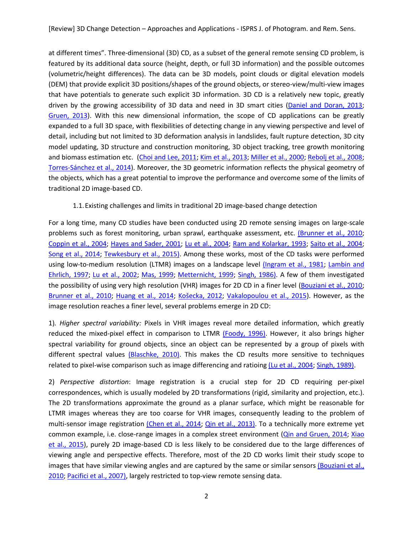at different times". Three-dimensional (3D) CD, as a subset of the general remote sensing CD problem, is featured by its additional data source (height, depth, or full 3D information) and the possible outcomes (volumetric/height differences). The data can be 3D models, point clouds or digital elevation models (DEM) that provide explicit 3D positions/shapes of the ground objects, or stereo-view/multi-view images that have potentials to generate such explicit 3D information. 3D CD is a relatively new topic, greatly driven by the growing accessibility of 3D data and need in 3D smart cities [\(Daniel and Doran, 2013;](#page-25-0) [Gruen, 2013\)](#page-26-0). With this new dimensional information, the scope of CD applications can be greatly expanded to a full 3D space, with flexibilities of detecting change in any viewing perspective and level of detail, including but not limited to 3D deformation analysis in landslides, fault rupture detection, 3D city model updating, 3D structure and construction monitoring, 3D object tracking, tree growth monitoring and biomass estimation etc. [\(Choi and Lee, 2011;](#page-25-1) [Kim et al., 2013;](#page-28-0) [Miller et al., 2000;](#page-29-0) [Rebolj et al., 2008;](#page-30-0) [Torres-Sánchez et al., 2014\)](#page-32-0). Moreover, the 3D geometric information reflects the physical geometry of the objects, which has a great potential to improve the performance and overcome some of the limits of traditional 2D image-based CD.

## 1.1.Existing challenges and limits in traditional 2D image-based change detection

For a long time, many CD studies have been conducted using 2D remote sensing images on large-scale problems such as forest monitoring, urban sprawl, earthquake assessment, etc. [\(Brunner et al., 2010;](#page-24-0) [Coppin et al., 2004;](#page-25-2) [Hayes and Sader, 2001;](#page-27-0) [Lu et al., 2004;](#page-28-1) [Ram and Kolarkar, 1993;](#page-30-1) [Saito et al., 2004;](#page-31-1) [Song et al., 2014;](#page-31-2) [Tewkesbury et al., 2015\)](#page-32-1). Among these works, most of the CD tasks were performed using low-to-medium resolution (LTMR) images on a landscape level [\(Ingram et al., 1981;](#page-27-1) [Lambin and](#page-28-2)  [Ehrlich, 1997;](#page-28-2) [Lu et al., 2002;](#page-28-3) [Mas, 1999;](#page-29-1) [Metternicht, 1999;](#page-29-2) [Singh, 1986\)](#page-31-3). A few of them investigated the possibility of using very high resolution (VHR) images for 2D CD in a finer level [\(Bouziani et al., 2010;](#page-24-1) [Brunner et al., 2010;](#page-24-0) [Huang et al., 2014;](#page-27-2) [Košecka, 2012](#page-28-4); [Vakalopoulou et al., 2015\)](#page-32-2). However, as the image resolution reaches a finer level, several problems emerge in 2D CD:

1)*. Higher spectral variability:* Pixels in VHR images reveal more detailed information, which greatly reduced the mixed-pixel effect in comparison to LTMR [\(Foody, 1996\)](#page-26-1). However, it also brings higher spectral variability for ground objects, since an object can be represented by a group of pixels with different spectral values [\(Blaschke, 2010\)](#page-24-2). This makes the CD results more sensitive to techniques related to pixel-wise comparison such as image differencing and ratioing [\(Lu et al., 2004;](#page-28-1) [Singh, 1989\)](#page-31-0).

2) *Perspective distortion*: Image registration is a crucial step for 2D CD requiring per-pixel correspondences, which is usually modeled by 2D transformations (rigid, similarity and projection, etc.). The 2D transformations approximate the ground as a planar surface, which might be reasonable for LTMR images whereas they are too coarse for VHR images, consequently leading to the problem of multi-sensor image registration [\(Chen et al., 2014;](#page-25-3) [Qin et al., 2013\)](#page-30-2). To a technically more extreme yet common example, i.e. close-range images in a complex street environment [\(Qin and Gruen, 2014;](#page-30-3) Xiao [et al., 2015\)](#page-33-0), purely 2D image-based CD is less likely to be considered due to the large differences of viewing angle and perspective effects. Therefore, most of the 2D CD works limit their study scope to images that have similar viewing angles and are captured by the same or similar sensors (Bouziani et al., [2010;](#page-24-1) [Pacifici et al., 2007\)](#page-30-4), largely restricted to top-view remote sensing data.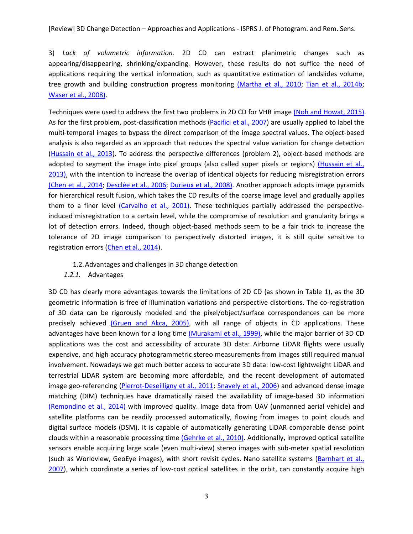3) *Lack of volumetric information.* 2D CD can extract planimetric changes such as appearing/disappearing, shrinking/expanding. However, these results do not suffice the need of applications requiring the vertical information, such as quantitative estimation of landslides volume, tree growth and building construction progress monitoring [\(Martha et al., 2010;](#page-29-3) [Tian et al., 2014b;](#page-32-3) [Waser et al., 2008\)](#page-33-1).

Techniques were used to address the first two problems in 2D CD for VHR image [\(Noh and Howat, 2015\)](#page-29-4). As for the first problem, post-classification methods [\(Pacifici et al., 2007\)](#page-30-4) are usually applied to label the multi-temporal images to bypass the direct comparison of the image spectral values. The object-based analysis is also regarded as an approach that reduces the spectral value variation for change detection [\(Hussain et al., 2013\)](#page-27-3). To address the perspective differences (problem 2), object-based methods are adopted to segment the image into pixel groups (also called super pixels or regions) (Hussain et al., [2013\)](#page-27-3), with the intention to increase the overlap of identical objects for reducing misregistration errors [\(Chen et al., 2014;](#page-25-3) [Desclée et al., 2006;](#page-25-4) [Durieux et al., 2008\)](#page-26-2). Another approach adopts image pyramids for hierarchical result fusion, which takes the CD results of the coarse image level and gradually applies them to a finer level [\(Carvalho et al., 2001\)](#page-24-3). These techniques partially addressed the perspectiveinduced misregistration to a certain level, while the compromise of resolution and granularity brings a lot of detection errors. Indeed, though object-based methods seem to be a fair trick to increase the tolerance of 2D image comparison to perspectively distorted images, it is still quite sensitive to registration errors [\(Chen et al., 2014\)](#page-25-3).

#### 1.2.Advantages and challenges in 3D change detection

*1.2.1.* Advantages

3D CD has clearly more advantages towards the limitations of 2D CD (as shown in Table 1), as the 3D geometric information is free of illumination variations and perspective distortions. The co-registration of 3D data can be rigorously modeled and the pixel/object/surface correspondences can be more precisely achieved [\(Gruen and Akca, 2005\)](#page-26-3), with all range of objects in CD applications. These advantages have been known for a long time [\(Murakami et al., 1999\)](#page-29-5), while the major barrier of 3D CD applications was the cost and accessibility of accurate 3D data: Airborne LiDAR flights were usually expensive, and high accuracy photogrammetric stereo measurements from images still required manual involvement. Nowadays we get much better access to accurate 3D data: low-cost lightweight LiDAR and terrestrial LiDAR system are becoming more affordable, and the recent development of automated image geo-referencing [\(Pierrot-Deseilligny et al., 2011;](#page-30-5) [Snavely et al., 2006\)](#page-31-4) and advanced dense image matching (DIM) techniques have dramatically raised the availability of image-based 3D information [\(Remondino et al., 2014\)](#page-31-5) with improved quality. Image data from UAV (unmanned aerial vehicle) and satellite platforms can be readily processed automatically, flowing from images to point clouds and digital surface models (DSM). It is capable of automatically generating LiDAR comparable dense point clouds within a reasonable processing time [\(Gehrke et al., 2010\)](#page-26-4). Additionally, improved optical satellite sensors enable acquiring large scale (even multi-view) stereo images with sub-meter spatial resolution (such as Worldview, GeoEye images), with short revisit cycles. Nano satellite systems [\(Barnhart et al.,](#page-24-4)  [2007\)](#page-24-4), which coordinate a series of low-cost optical satellites in the orbit, can constantly acquire high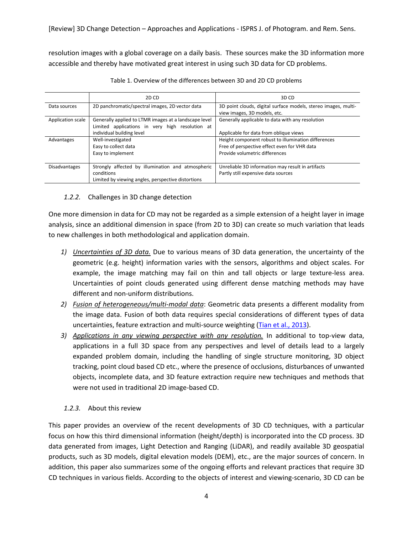resolution images with a global coverage on a daily basis. These sources make the 3D information more accessible and thereby have motivated great interest in using such 3D data for CD problems.

|                      | 2D CD                                                                                                                                 | 3D CD                                                                                                                                 |
|----------------------|---------------------------------------------------------------------------------------------------------------------------------------|---------------------------------------------------------------------------------------------------------------------------------------|
| Data sources         | 2D panchromatic/spectral images, 2D vector data                                                                                       | 3D point clouds, digital surface models, stereo images, multi-<br>view images, 3D models, etc.                                        |
| Application scale    | Generally applied to LTMR images at a landscape level<br>Limited applications in very high resolution at<br>individual building level | Generally applicable to data with any resolution<br>Applicable for data from oblique views                                            |
| Advantages           | Well-investigated<br>Easy to collect data<br>Easy to implement                                                                        | Height component robust to illumination differences<br>Free of perspective effect even for VHR data<br>Provide volumetric differences |
| <b>Disadvantages</b> | Strongly affected by illumination and atmospheric<br>conditions<br>Limited by viewing angles, perspective distortions                 | Unreliable 3D information may result in artifacts<br>Partly still expensive data sources                                              |

| Table 1. Overview of the differences between 3D and 2D CD problems |  |  |
|--------------------------------------------------------------------|--|--|
|                                                                    |  |  |

# *1.2.2.* Challenges in 3D change detection

One more dimension in data for CD may not be regarded as a simple extension of a height layer in image analysis, since an additional dimension in space (from 2D to 3D) can create so much variation that leads to new challenges in both methodological and application domain.

- *1) Uncertainties of 3D data.* Due to various means of 3D data generation, the uncertainty of the geometric (e.g. height) information varies with the sensors, algorithms and object scales. For example, the image matching may fail on thin and tall objects or large texture-less area. Uncertainties of point clouds generated using different dense matching methods may have different and non-uniform distributions.
- *2) Fusion of heterogeneous/multi-modal data*: Geometric data presents a different modality from the image data. Fusion of both data requires special considerations of different types of data uncertainties, feature extraction and multi-source weighting [\(Tian et al., 2013\)](#page-32-4).
- *3) Applications in any viewing perspective with any resolution.* In additional to top-view data, applications in a full 3D space from any perspectives and level of details lead to a largely expanded problem domain, including the handling of single structure monitoring, 3D object tracking, point cloud based CD etc., where the presence of occlusions, disturbances of unwanted objects, incomplete data, and 3D feature extraction require new techniques and methods that were not used in traditional 2D image-based CD.

# *1.2.3.* About this review

This paper provides an overview of the recent developments of 3D CD techniques, with a particular focus on how this third dimensional information (height/depth) is incorporated into the CD process. 3D data generated from images, Light Detection and Ranging (LiDAR), and readily available 3D geospatial products, such as 3D models, digital elevation models (DEM), etc., are the major sources of concern. In addition, this paper also summarizes some of the ongoing efforts and relevant practices that require 3D CD techniques in various fields. According to the objects of interest and viewing-scenario, 3D CD can be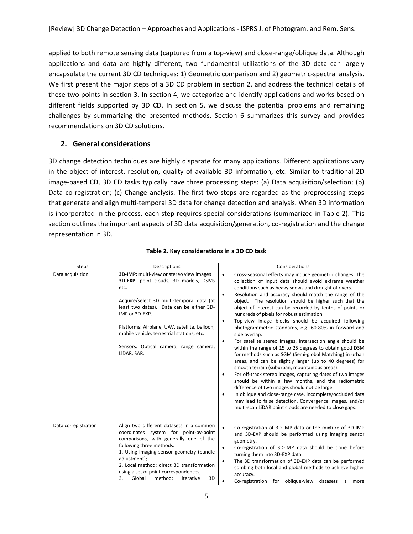applied to both remote sensing data (captured from a top-view) and close-range/oblique data. Although applications and data are highly different, two fundamental utilizations of the 3D data can largely encapsulate the current 3D CD techniques: 1) Geometric comparison and 2) geometric-spectral analysis. We first present the major steps of a 3D CD problem in section 2, and address the technical details of these two points in section 3. In section 4, we categorize and identify applications and works based on different fields supported by 3D CD. In section 5, we discuss the potential problems and remaining challenges by summarizing the presented methods. Section 6 summarizes this survey and provides recommendations on 3D CD solutions.

# **2. General considerations**

3D change detection techniques are highly disparate for many applications. Different applications vary in the object of interest, resolution, quality of available 3D information, etc. Similar to traditional 2D image-based CD, 3D CD tasks typically have three processing steps: (a) Data acquisition/selection; (b) Data co-registration; (c) Change analysis. The first two steps are regarded as the preprocessing steps that generate and align multi-temporal 3D data for change detection and analysis. When 3D information is incorporated in the process, each step requires special considerations (summarized in Table 2). This section outlines the important aspects of 3D data acquisition/generation, co-registration and the change representation in 3D.

| <b>Steps</b>         | Descriptions                                                                                                                                                                                                                                                                                                                                                 | Considerations                                                                                                                                                                                                                                                                                                                                                                                                                                                                                                                                                                                                                                                                                                                                                                                                                                                                                                                                                                                                                                                                                                                                                                                                                                                               |
|----------------------|--------------------------------------------------------------------------------------------------------------------------------------------------------------------------------------------------------------------------------------------------------------------------------------------------------------------------------------------------------------|------------------------------------------------------------------------------------------------------------------------------------------------------------------------------------------------------------------------------------------------------------------------------------------------------------------------------------------------------------------------------------------------------------------------------------------------------------------------------------------------------------------------------------------------------------------------------------------------------------------------------------------------------------------------------------------------------------------------------------------------------------------------------------------------------------------------------------------------------------------------------------------------------------------------------------------------------------------------------------------------------------------------------------------------------------------------------------------------------------------------------------------------------------------------------------------------------------------------------------------------------------------------------|
| Data acquisition     | 3D-IMP: multi-view or stereo view images<br>3D-EXP: point clouds, 3D models, DSMs<br>etc.<br>Acquire/select 3D multi-temporal data (at<br>least two dates). Data can be either 3D-<br>IMP or 3D-EXP.<br>Platforms: Airplane, UAV, satellite, balloon,<br>mobile vehicle, terrestrial stations, etc.<br>Sensors: Optical camera, range camera,<br>LiDAR, SAR. | Cross-seasonal effects may induce geometric changes. The<br>$\bullet$<br>collection of input data should avoid extreme weather<br>conditions such as heavy snows and drought of rivers.<br>Resolution and accuracy should match the range of the<br>$\bullet$<br>object. The resolution should be higher such that the<br>object of interest can be recorded by tenths of points or<br>hundreds of pixels for robust estimation.<br>Top-view image blocks should be acquired following<br>$\bullet$<br>photogrammetric standards, e.g. 60-80% in forward and<br>side overlap.<br>For satellite stereo images, intersection angle should be<br>$\bullet$<br>within the range of 15 to 25 degrees to obtain good DSM<br>for methods such as SGM (Semi-global Matching) in urban<br>areas, and can be slightly larger (up to 40 degrees) for<br>smooth terrain (suburban, mountainous areas).<br>For off-track stereo images, capturing dates of two images<br>$\bullet$<br>should be within a few months, and the radiometric<br>difference of two images should not be large.<br>In oblique and close-range case, incomplete/occluded data<br>$\bullet$<br>may lead to false detection. Convergence images, and/or<br>multi-scan LiDAR point clouds are needed to close gaps. |
| Data co-registration | Align two different datasets in a common<br>coordinates system for point-by-point<br>comparisons, with generally one of the<br>following three methods:<br>1. Using imaging sensor geometry (bundle<br>adjustment);<br>2. Local method: direct 3D transformation<br>using a set of point correspondences;<br>Global<br>method:<br>3D<br>3.<br>iterative      | $\bullet$<br>Co-registration of 3D-IMP data or the mixture of 3D-IMP<br>and 3D-EXP should be performed using imaging sensor<br>geometry.<br>Co-registration of 3D-IMP data should be done before<br>٠<br>turning them into 3D-EXP data.<br>The 3D transformation of 3D-EXP data can be performed<br>$\bullet$<br>combing both local and global methods to achieve higher<br>accuracy.<br>Co-registration for oblique-view<br>datasets is<br>more                                                                                                                                                                                                                                                                                                                                                                                                                                                                                                                                                                                                                                                                                                                                                                                                                             |

**Table 2. Key considerations in a 3D CD task**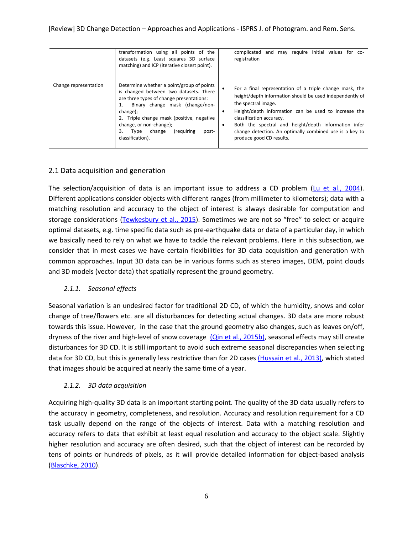|                       | transformation using all points of the<br>datasets (e.g. Least squares 3D surface<br>matching) and ICP (iterative closest point).                                                                                                                                                                                         | and may require initial values for co-<br>complicated<br>registration                                                                                                                                                                                                                                                                                                              |
|-----------------------|---------------------------------------------------------------------------------------------------------------------------------------------------------------------------------------------------------------------------------------------------------------------------------------------------------------------------|------------------------------------------------------------------------------------------------------------------------------------------------------------------------------------------------------------------------------------------------------------------------------------------------------------------------------------------------------------------------------------|
| Change representation | Determine whether a point/group of points<br>is changed between two datasets. There<br>are three types of change presentations:<br>Binary change mask (change/non-<br>change);<br>2. Triple change mask (positive, negative<br>change, or non-change);<br>3.<br>(requiring<br>change<br>Type<br>post-<br>classification). | For a final representation of a triple change mask, the<br>height/depth information should be used independently of<br>the spectral image.<br>Height/depth information can be used to increase the<br>٠<br>classification accuracy.<br>Both the spectral and height/depth information infer<br>change detection. An optimally combined use is a key to<br>produce good CD results. |

# 2.1 Data acquisition and generation

The selection/acquisition of data is an important issue to address a CD problem ( $\mu$  et al., 2004). Different applications consider objects with different ranges (from millimeter to kilometers); data with a matching resolution and accuracy to the object of interest is always desirable for computation and storage considerations [\(Tewkesbury et al., 2015\)](#page-32-1). Sometimes we are not so "free" to select or acquire optimal datasets, e.g. time specific data such as pre-earthquake data or data of a particular day, in which we basically need to rely on what we have to tackle the relevant problems. Here in this subsection, we consider that in most cases we have certain flexibilities for 3D data acquisition and generation with common approaches. Input 3D data can be in various forms such as stereo images, DEM, point clouds and 3D models (vector data) that spatially represent the ground geometry.

## *2.1.1. Seasonal effects*

Seasonal variation is an undesired factor for traditional 2D CD, of which the humidity, snows and color change of tree/flowers etc. are all disturbances for detecting actual changes. 3D data are more robust towards this issue. However, in the case that the ground geometry also changes, such as leaves on/off, dryness of the river and high-level of snow coverage [\(Qin et al., 2015b\)](#page-30-6), seasonal effects may still create disturbances for 3D CD. It is still important to avoid such extreme seasonal discrepancies when selecting data for 3D CD, but this is generally less restrictive than for 2D cases [\(Hussain et al., 2013\)](#page-27-3), which stated that images should be acquired at nearly the same time of a year.

# *2.1.2. 3D data acquisition*

Acquiring high-quality 3D data is an important starting point. The quality of the 3D data usually refers to the accuracy in geometry, completeness, and resolution. Accuracy and resolution requirement for a CD task usually depend on the range of the objects of interest. Data with a matching resolution and accuracy refers to data that exhibit at least equal resolution and accuracy to the object scale. Slightly higher resolution and accuracy are often desired, such that the object of interest can be recorded by tens of points or hundreds of pixels, as it will provide detailed information for object-based analysis [\(Blaschke, 2010\)](#page-24-2).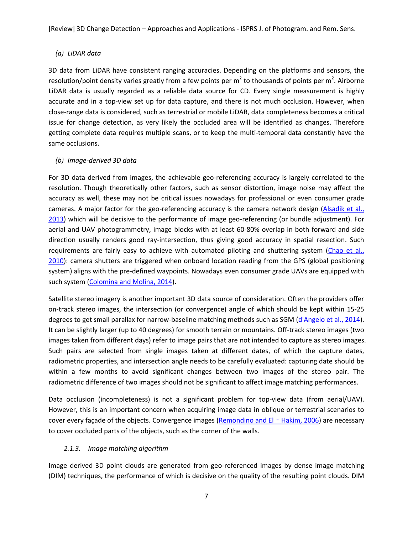# *(a) LiDAR data*

3D data from LiDAR have consistent ranging accuracies. Depending on the platforms and sensors, the resolution/point density varies greatly from a few points per m<sup>2</sup> to thousands of points per m<sup>2</sup>. Airborne LiDAR data is usually regarded as a reliable data source for CD. Every single measurement is highly accurate and in a top-view set up for data capture, and there is not much occlusion. However, when close-range data is considered, such as terrestrial or mobile LiDAR, data completeness becomes a critical issue for change detection, as very likely the occluded area will be identified as changes. Therefore getting complete data requires multiple scans, or to keep the multi-temporal data constantly have the same occlusions.

# *(b) Image-derived 3D data*

For 3D data derived from images, the achievable geo-referencing accuracy is largely correlated to the resolution. Though theoretically other factors, such as sensor distortion, image noise may affect the accuracy as well, these may not be critical issues nowadays for professional or even consumer grade cameras. A major factor for the geo-referencing accuracy is the camera network design [\(Alsadik et al.,](#page-23-0)  [2013\)](#page-23-0) which will be decisive to the performance of image geo-referencing (or bundle adjustment). For aerial and UAV photogrammetry, image blocks with at least 60-80% overlap in both forward and side direction usually renders good ray-intersection, thus giving good accuracy in spatial resection. Such requirements are fairly easy to achieve with automated piloting and shuttering system [\(Chao et al.,](#page-25-5)  [2010\)](#page-25-5): camera shutters are triggered when onboard location reading from the GPS (global positioning system) aligns with the pre-defined waypoints. Nowadays even consumer grade UAVs are equipped with such system [\(Colomina and Molina, 2014\)](#page-25-6).

Satellite stereo imagery is another important 3D data source of consideration. Often the providers offer on-track stereo images, the intersection (or convergence) angle of which should be kept within 15-25 degrees to get small parallax for narrow-baseline matching methods such as SGM [\(d'Angelo et al., 2014\)](#page-25-7). It can be slightly larger (up to 40 degrees) for smooth terrain or mountains. Off-track stereo images (two images taken from different days) refer to image pairs that are not intended to capture as stereo images. Such pairs are selected from single images taken at different dates, of which the capture dates, radiometric properties, and intersection angle needs to be carefully evaluated: capturing date should be within a few months to avoid significant changes between two images of the stereo pair. The radiometric difference of two images should not be significant to affect image matching performances.

Data occlusion (incompleteness) is not a significant problem for top-view data (from aerial/UAV). However, this is an important concern when acquiring image data in oblique or terrestrial scenarios to cover every façade of the objects. Convergence images [\(Remondino and El](#page-31-6) - Hakim, 2006) are necessary to cover occluded parts of the objects, such as the corner of the walls.

# *2.1.3. Image matching algorithm*

Image derived 3D point clouds are generated from geo-referenced images by dense image matching (DIM) techniques, the performance of which is decisive on the quality of the resulting point clouds. DIM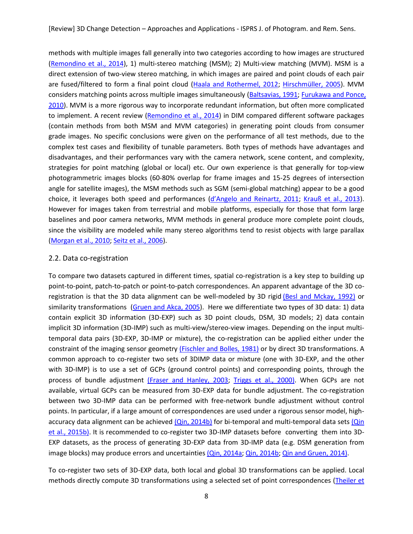methods with multiple images fall generally into two categories according to how images are structured [\(Remondino et al., 2014\)](#page-31-5), 1) multi-stereo matching (MSM); 2) Multi-view matching (MVM). MSM is a direct extension of two-view stereo matching, in which images are paired and point clouds of each pair are fused/filtered to form a final point cloud [\(Haala and Rothermel, 2012;](#page-26-5) [Hirschmüller, 2005\)](#page-27-4). MVM considers matching points across multiple images simultaneously [\(Baltsavias, 1991;](#page-23-1) [Furukawa and Ponce,](#page-26-6)  [2010\)](#page-26-6). MVM is a more rigorous way to incorporate redundant information, but often more complicated to implement. A recent review [\(Remondino et al., 2014\)](#page-31-5) in DIM compared different software packages (contain methods from both MSM and MVM categories) in generating point clouds from consumer grade images. No specific conclusions were given on the performance of all test methods, due to the complex test cases and flexibility of tunable parameters. Both types of methods have advantages and disadvantages, and their performances vary with the camera network, scene content, and complexity, strategies for point matching (global or local) etc. Our own experience is that generally for top-view photogrammetric images blocks (60-80% overlap for frame images and 15-25 degrees of intersection angle for satellite images), the MSM methods such as SGM (semi-global matching) appear to be a good choice, it leverages both speed and performances ([d'Angelo and Reinartz, 2011](#page-25-8); [Krauß et al., 2013\)](#page-28-5). However for images taken from terrestrial and mobile platforms, especially for those that form large baselines and poor camera networks, MVM methods in general produce more complete point clouds, since the visibility are modeled while many stereo algorithms tend to resist objects with large parallax [\(Morgan et al., 2010;](#page-29-6) [Seitz et al., 2006\)](#page-31-7).

# 2.2. Data co-registration

To compare two datasets captured in different times, spatial co-registration is a key step to building up point-to-point, patch-to-patch or point-to-patch correspondences. An apparent advantage of the 3D coregistration is that the 3D data alignment can be well-modeled by 3D rigid [\(Besl and Mckay, 1992\)](#page-24-5) or similarity transformations (Gruen and [Akca, 2005\)](#page-26-3). Here we differentiate two types of 3D data: 1) data contain explicit 3D information (3D-EXP) such as 3D point clouds, DSM, 3D models; 2) data contain implicit 3D information (3D-IMP) such as multi-view/stereo-view images. Depending on the input multitemporal data pairs (3D-EXP, 3D-IMP or mixture), the co-registration can be applied either under the constraint of the imaging sensor geometry [\(Fischler and Bolles, 1981\)](#page-26-7) or by direct 3D transformations. A common approach to co-register two sets of 3DIMP data or mixture (one with 3D-EXP, and the other with 3D-IMP) is to use a set of GCPs (ground control points) and corresponding points, through the process of bundle adjustment [\(Fraser and Hanley, 2003;](#page-26-8) [Triggs et al., 2000\)](#page-32-5). When GCPs are not available, virtual GCPs can be measured from 3D-EXP data for bundle adjustment. The co-registration between two 3D-IMP data can be performed with free-network bundle adjustment without control points. In particular, if a large amount of correspondences are used under a rigorous sensor model, high-accuracy data alignment can be achieved [\(Qin, 2014b\)](#page-30-7) for bi-temporal and multi-temporal data sets (Qin [et al., 2015b\)](#page-30-6). It is recommended to co-register two 3D-IMP datasets before converting them into 3D-EXP datasets, as the process of generating 3D-EXP data from 3D-IMP data (e.g. DSM generation from image blocks) may produce errors and uncertainties [\(Qin, 2014a;](#page-30-8) [Qin, 2014b;](#page-30-7) [Qin and Gruen, 2014\)](#page-30-3).

To co-register two sets of 3D-EXP data, both local and global 3D transformations can be applied. Local methods directly compute 3D transformations using a selected set of point correspondences [\(Theiler et](#page-32-6)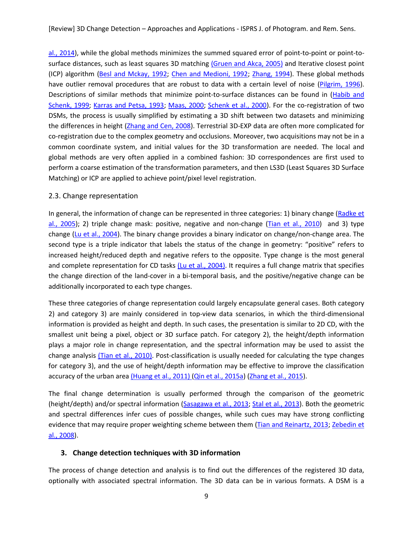[al., 2014\)](#page-32-6), while the global methods minimizes the summed squared error of point-to-point or point-tosurface distances, such as least squares 3D matching [\(Gruen and Akca, 2005\)](#page-26-3) and Iterative closest point (ICP) algorithm [\(Besl and Mckay, 1992;](#page-24-5) [Chen and Medioni, 1992;](#page-25-9) [Zhang, 1994\)](#page-33-2). These global methods have outlier removal procedures that are robust to data with a certain level of noise [\(Pilgrim, 1996\)](#page-30-9). Descriptions of similar methods that minimize point-to-surface distances can be found in [\(Habib and](#page-27-5)  [Schenk, 1999;](#page-27-5) [Karras and Petsa, 1993;](#page-28-6) [Maas, 2000;](#page-28-7) [Schenk et al., 2000\)](#page-31-8). For the co-registration of two DSMs, the process is usually simplified by estimating a 3D shift between two datasets and minimizing the differences in height [\(Zhang and Cen, 2008\)](#page-33-3). Terrestrial 3D-EXP data are often more complicated for co-registration due to the complex geometry and occlusions. Moreover, two acquisitions may not be in a common coordinate system, and initial values for the 3D transformation are needed. The local and global methods are very often applied in a combined fashion: 3D correspondences are first used to perform a coarse estimation of the transformation parameters, and then LS3D (Least Squares 3D Surface Matching) or ICP are applied to achieve point/pixel level registration.

## 2.3. Change representation

In general, the information of change can be represented in three categories: 1) binary change [\(Radke et](#page-30-10)  [al., 2005\)](#page-30-10); 2) triple change mask: positive, negative and non-change [\(Tian et al., 2010\)](#page-32-7) and 3) type change [\(Lu et al., 2004\)](#page-28-1). The binary change provides a binary indicator on change/non-change area. The second type is a triple indicator that labels the status of the change in geometry: "positive" refers to increased height/reduced depth and negative refers to the opposite. Type change is the most general and complete representation for CD tasks [\(Lu et al., 2004\)](#page-28-1). It requires a full change matrix that specifies the change direction of the land-cover in a bi-temporal basis, and the positive/negative change can be additionally incorporated to each type changes.

These three categories of change representation could largely encapsulate general cases. Both category 2) and category 3) are mainly considered in top-view data scenarios, in which the third-dimensional information is provided as height and depth. In such cases, the presentation is similar to 2D CD, with the smallest unit being a pixel, object or 3D surface patch. For category 2), the height/depth information plays a major role in change representation, and the spectral information may be used to assist the change analysis *[\(Tian et al., 2010\)](#page-32-7)*. Post-classification is usually needed for calculating the type changes for category 3), and the use of height/depth information may be effective to improve the classification accuracy of the urban area [\(Huang et al., 2011\)](#page-25-9) [\(Qin et al., 2015a\)](#page-30-11) [\(Zhang et al., 2015\)](#page-33-4).

The final change determination is usually performed through the comparison of the geometric (height/depth) and/or spectral information [\(Sasagawa et al., 2013;](#page-31-9) [Stal et al., 2013\)](#page-31-10). Both the geometric and spectral differences infer cues of possible changes, while such cues may have strong conflicting evidence that may require proper weighting scheme between them [\(Tian and Reinartz, 2013;](#page-32-8) [Zebedin et](#page-33-5)  [al., 2008\)](#page-33-5).

## **3. Change detection techniques with 3D information**

The process of change detection and analysis is to find out the differences of the registered 3D data, optionally with associated spectral information. The 3D data can be in various formats. A DSM is a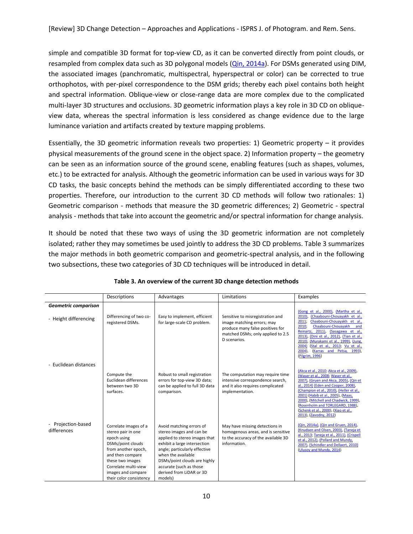simple and compatible 3D format for top-view CD, as it can be converted directly from point clouds, or resampled from complex data such as 3D polygonal models [\(Qin, 2014a\)](#page-30-8). For DSMs generated using DIM, the associated images (panchromatic, multispectral, hyperspectral or color) can be corrected to true orthophotos, with per-pixel correspondence to the DSM grids; thereby each pixel contains both height and spectral information. Oblique-view or close-range data are more complex due to the complicated multi-layer 3D structures and occlusions. 3D geometric information plays a key role in 3D CD on obliqueview data, whereas the spectral information is less considered as change evidence due to the large luminance variation and artifacts created by texture mapping problems.

Essentially, the 3D geometric information reveals two properties: 1) Geometric property – it provides physical measurements of the ground scene in the object space. 2) Information property – the geometry can be seen as an information source of the ground scene, enabling features (such as shapes, volumes, etc.) to be extracted for analysis. Although the geometric information can be used in various ways for 3D CD tasks, the basic concepts behind the methods can be simply differentiated according to these two properties. Therefore, our introduction to the current 3D CD methods will follow two rationales: 1) Geometric comparison - methods that measure the 3D geometric differences; 2) Geometric - spectral analysis - methods that take into account the geometric and/or spectral information for change analysis.

It should be noted that these two ways of using the 3D geometric information are not completely isolated; rather they may sometimes be used jointly to address the 3D CD problems. Table 3 summarizes the major methods in both geometric comparison and geometric-spectral analysis, and in the following two subsections, these two categories of 3D CD techniques will be introduced in detail.

|                                   | Descriptions                                                                                                                                                                                                            | Advantages                                                                                                                                                                                                                                                                     | Limitations                                                                                                                                             | Examples                                                                                                                                                                                                                                                                                                                                                                                           |
|-----------------------------------|-------------------------------------------------------------------------------------------------------------------------------------------------------------------------------------------------------------------------|--------------------------------------------------------------------------------------------------------------------------------------------------------------------------------------------------------------------------------------------------------------------------------|---------------------------------------------------------------------------------------------------------------------------------------------------------|----------------------------------------------------------------------------------------------------------------------------------------------------------------------------------------------------------------------------------------------------------------------------------------------------------------------------------------------------------------------------------------------------|
| <b>Geometric comparison</b>       |                                                                                                                                                                                                                         |                                                                                                                                                                                                                                                                                |                                                                                                                                                         |                                                                                                                                                                                                                                                                                                                                                                                                    |
| - Height differencing             | Differencing of two co-<br>registered DSMs.                                                                                                                                                                             | Easy to implement, efficient<br>for large-scale CD problem.                                                                                                                                                                                                                    | Sensitive to misregistration and<br>image matching errors; may<br>produce many false positives for<br>matched DSMs; only applied to 2.5<br>D scenarios. | (Gong et al., 2000), (Martha et al.,<br>(Chaabouni-Chouayakh et al.,<br>2010).<br>Chaabouni-Chouayakh et al.,<br>2011;<br>2010;<br>Chaabouni-Chouayakh<br>and<br>Reinartz, 2011), (Sasagawa et al.,<br>2013), (Dini et al., 2012), (Tian et al.,<br>2010), (Murakami et al., 1999), (Jung,<br>(Stal et al., 2013; Vu et al.,<br>2004)<br>(Karras and Petsa, 1993),<br>$2004$ ).<br>(Pilgrim, 1996) |
| - Euclidean distances             |                                                                                                                                                                                                                         |                                                                                                                                                                                                                                                                                |                                                                                                                                                         |                                                                                                                                                                                                                                                                                                                                                                                                    |
|                                   | Compute the<br>Euclidean differences<br>between two 3D<br>surfaces.                                                                                                                                                     | Robust to small registration<br>errors for top-view 3D data;<br>can be applied to full 3D data<br>comparison.                                                                                                                                                                  | The computation may require time<br>intensive correspondence search,<br>and it also requires complicated<br>implementation.                             | (Akca et al., 2010; Akca et al., 2009),<br>(Waser et al., 2008; Waser et al.,<br>2007), (Gruen and Akca, 2005), (Qin et<br>al., 2014) (Eden and Cooper, 2008),<br>(Champion et al., 2010), (Heller et al.,<br>2001) (Habib et al., 2005), (Maas,<br>2000), (Mitchell and Chadwick, 1999),<br>(Rosenholm and TORLEGARD, 1988),<br>(Schenk et al., 2000), (Xiao et al.,<br>2013), (Zavodny, 2012)    |
| - Projection-based<br>differences | Correlate images of a<br>stereo pair in one<br>epoch using<br>DSMs/point clouds<br>from another epoch,<br>and then compare<br>these two images<br>Correlate multi-view<br>images and compare<br>their color consistency | Avoid matching errors of<br>stereo images and can be<br>applied to stereo images that<br>exhibit a large intersection<br>angle; particularly effective<br>when the available<br>DSMs/point clouds are highly<br>accurate (such as those<br>derived from LiDAR or 3D<br>models) | May have missing detections in<br>homogenous areas, and is sensitive<br>to the accuracy of the available 3D<br>information.                             | (Qin, 2014a), (Qin and Gruen, 2014),<br>(Knudsen and Olsen, 2003), (Taneja et<br>al., 2013; Taneja et al., 2011), (Crispell<br>et al., 2012), (Pollard and Mundy,<br>2007), (Schindler and Dellaert, 2010)<br>(Ulusoy and Mundy, 2014)                                                                                                                                                             |

## **Table 3. An overview of the current 3D change detection methods**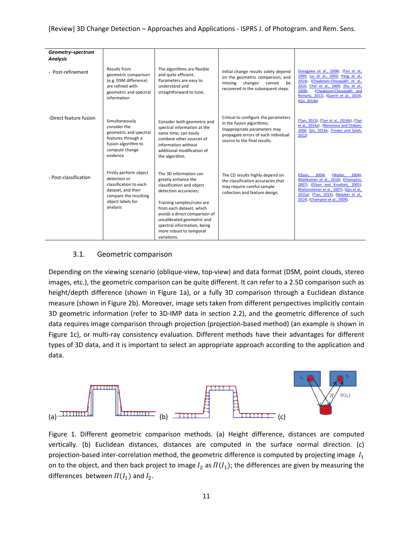| Geometry-spectrum<br><b>Analysis</b> |                                                                                                                                                 |                                                                                                                                                                                                                                                                                                       |                                                                                                                                                                          |                                                                                                                                                                                                                                                                     |
|--------------------------------------|-------------------------------------------------------------------------------------------------------------------------------------------------|-------------------------------------------------------------------------------------------------------------------------------------------------------------------------------------------------------------------------------------------------------------------------------------------------------|--------------------------------------------------------------------------------------------------------------------------------------------------------------------------|---------------------------------------------------------------------------------------------------------------------------------------------------------------------------------------------------------------------------------------------------------------------|
| - Post-refinement                    | Results from<br>geometric comparison<br>(e.g. DSM difference)<br>are refined with<br>geometric and spectral<br>information                      | The algorithms are flexible<br>and quite efficient.<br>Parameters are easy to<br>understand and<br>straightforward to tune.                                                                                                                                                                           | Initial change results solely depend<br>on the geometric comparison, and<br>changes<br>missing<br>cannot<br>be<br>recovered in the subsequent steps.                     | (Sasagawa et al., 2008), (Fan et al.,<br>1999; Liu et al., 2003; Pang et al.,<br>(Chaabouni-Chouayakh et al.,<br>2014).<br>2010;<br>Choi et al., 2009; Zhu et al.,<br>(Chaabouni-Chouayakh and<br>2008),<br>Reinartz, 2011), (Guerin et al., 2014),<br>(Qin, 2014b) |
| -Direct feature fusion               | Simultaneously<br>consider the<br>geometric and spectral<br>features through a<br>fusion algorithm to<br>compute change<br>evidence             | Consider both geometric and<br>spectral information at the<br>same time; can easily<br>combine other sources of<br>information without<br>additional modification of<br>the algorithm.                                                                                                                | Critical to configure the parameters<br>in the fusion algorithms;<br>Inappropriate parameters may<br>propagate errors of each individual<br>source to the final results. | (Tian, 2013), (Tian et al., 2014b), (Tian<br>et al., 2014a), (Nemmour and Chibani,<br>2006; Qin, 2014a; Trinder and Salah,<br>2012)                                                                                                                                 |
| - Post-classification                | Firstly perform object<br>detection or<br>classification to each<br>dataset, and then<br>compare the resulting<br>object labels for<br>analysis | The 3D information can<br>greatly enhance the<br>classification and object<br>detection accuracies;<br>Training samples/rules are<br>from each dataset, which<br>avoids a direct comparison of<br>uncalibrated geometric and<br>spectral information, being<br>more robust to temporal<br>variations. | The CD results highly depend on<br>the classification accuracies that<br>may require careful sample<br>collection and feature design.                                    | $2004$ ),<br>(Walter,<br>(Olsen,<br>$2004$ ),<br>(Matikainen et al., 2010), (Champion,<br>2007), (Olsen and Knudsen, 2005),<br>(Rottensteiner et al., 2007), (Qin et al.,<br>2015a), (Tian, 2013), (Nebiker et al.,<br>2014), (Champion et al., 2009),              |

# 3.1. Geometric comparison

Depending on the viewing scenario (oblique-view, top-view) and data format (DSM, point clouds, stereo images, etc.), the geometric comparison can be quite different. It can refer to a 2.5D comparison such as height/depth difference (shown in Figure 1a), or a fully 3D comparison through a Euclidean distance measure (shown in Figure 2b). Moreover, image sets taken from different perspectives implicitly contain 3D geometric information (refer to 3D-IMP data in section 2.2), and the geometric difference of such data requires image comparison through projection (projection-based method) (an example is shown in Figure 1c), or multi-ray consistency evaluation. Different methods have their advantages for different types of 3D data, and it is important to select an appropriate approach according to the application and data.



Figure 1. Different geometric comparison methods. (a) Height difference, distances are computed vertically. (b) Euclidean distances, distances are computed in the surface normal direction. (c) projection-based inter-correlation method, the geometric difference is computed by projecting image  $I_1$ on to the object, and then back project to image  $I_2$  as  $\Pi(I_1)$ ; the differences are given by measuring the differences between  $\Pi(I_1)$  and  $I_2$ .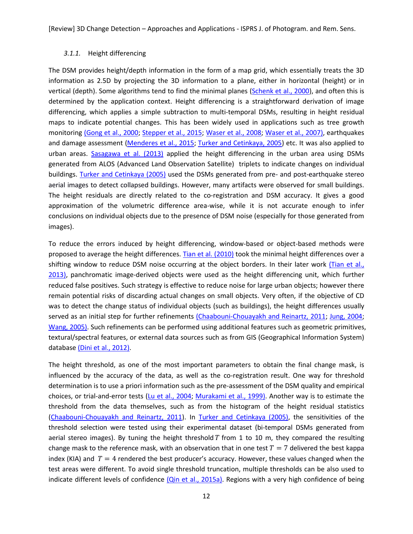## *3.1.1.* Height differencing

The DSM provides height/depth information in the form of a map grid, which essentially treats the 3D information as 2.5D by projecting the 3D information to a plane, either in horizontal (height) or in vertical (depth). Some algorithms tend to find the minimal planes [\(Schenk et al., 2000\)](#page-31-8), and often this is determined by the application context. Height differencing is a straightforward derivation of image differencing, which applies a simple subtraction to multi-temporal DSMs, resulting in height residual maps to indicate potential changes. This has been widely used in applications such as tree growth monitoring [\(Gong et al., 2000;](#page-26-9) [Stepper et al., 2015;](#page-31-15) [Waser et al., 2008;](#page-33-1) [Waser et al., 2007\)](#page-33-7), earthquakes and damage assessment [\(Menderes et al., 2015;](#page-29-11) [Turker and Cetinkaya, 2005\)](#page-32-15) etc. It was also applied to urban areas. [Sasagawa et al. \(2013\)](#page-31-9) applied the height differencing in the urban area using DSMs generated from ALOS (Advanced Land Observation Satellite) triplets to indicate changes on individual buildings. [Turker and Cetinkaya \(2005\)](#page-32-15) used the DSMs generated from pre- and post-earthquake stereo aerial images to detect collapsed buildings. However, many artifacts were observed for small buildings. The height residuals are directly related to the co-registration and DSM accuracy. It gives a good approximation of the volumetric difference area-wise, while it is not accurate enough to infer conclusions on individual objects due to the presence of DSM noise (especially for those generated from images).

To reduce the errors induced by height differencing, window-based or object-based methods were proposed to average the height differences. [Tian et al. \(2010\)](#page-32-7) took the minimal height differences over a shifting window to reduce DSM noise occurring at the object borders. In their later work [\(Tian et al.,](#page-32-4)  [2013\)](#page-32-4), panchromatic image-derived objects were used as the height differencing unit, which further reduced false positives. Such strategy is effective to reduce noise for large urban objects; however there remain potential risks of discarding actual changes on small objects. Very often, if the objective of CD was to detect the change status of individual objects (such as buildings), the height differences usually served as an initial step for further refinements [\(Chaabouni-Chouayakh and Reinartz, 2011;](#page-24-8) [Jung, 2004;](#page-27-6) [Wang, 2005\)](#page-33-12). Such refinements can be performed using additional features such as geometric primitives, textural/spectral features, or external data sources such as from GIS (Geographical Information System) database [\(Dini et al., 2012\)](#page-25-10).

The height threshold, as one of the most important parameters to obtain the final change mask, is influenced by the accuracy of the data, as well as the co-registration result. One way for threshold determination is to use a priori information such as the pre-assessment of the DSM quality and empirical choices, or trial-and-error tests [\(Lu et al., 2004;](#page-28-1) [Murakami et al., 1999\)](#page-29-5). Another way is to estimate the threshold from the data themselves, such as from the histogram of the height residual statistics [\(Chaabouni-Chouayakh and Reinartz, 2011\)](#page-24-8). In [Turker and Cetinkaya \(2005\)](#page-32-15), the sensitivities of the threshold selection were tested using their experimental dataset (bi-temporal DSMs generated from aerial stereo images). By tuning the height threshold  $T$  from 1 to 10 m, they compared the resulting change mask to the reference mask, with an observation that in one test  $T = 7$  delivered the best kappa index (KIA) and  $T=4$  rendered the best producer's accuracy. However, these values changed when the test areas were different. To avoid single threshold truncation, multiple thresholds can be also used to indicate different levels of confidence [\(Qin et al., 2015a\)](#page-30-11). Regions with a very high confidence of being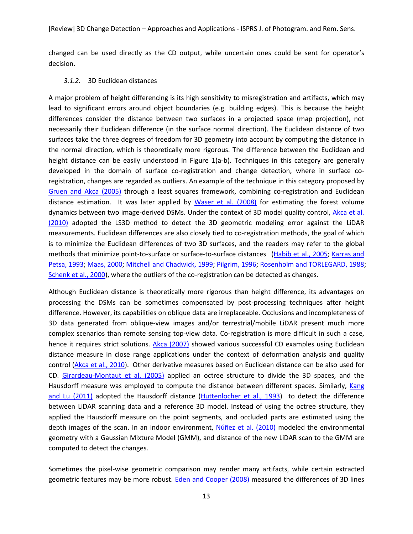changed can be used directly as the CD output, while uncertain ones could be sent for operator's decision.

#### *3.1.2.* 3D Euclidean distances

A major problem of height differencing is its high sensitivity to misregistration and artifacts, which may lead to significant errors around object boundaries (e.g. building edges). This is because the height differences consider the distance between two surfaces in a projected space (map projection), not necessarily their Euclidean difference (in the surface normal direction). The Euclidean distance of two surfaces take the three degrees of freedom for 3D geometry into account by computing the distance in the normal direction, which is theoretically more rigorous. The difference between the Euclidean and height distance can be easily understood in Figure 1(a-b). Techniques in this category are generally developed in the domain of surface co-registration and change detection, where in surface coregistration, changes are regarded as outliers. An example of the technique in this category proposed by [Gruen and Akca \(2005\)](#page-26-3) through a least squares framework, combining co-registration and Euclidean distance estimation. It was later applied by [Waser et al. \(2008\)](#page-33-1) for estimating the forest volume dynamics between two image-derived DSMs. Under the context of 3D model quality control, [Akca et al.](#page-23-2)  [\(2010\)](#page-23-2) adopted the LS3D method to detect the 3D geometric modeling error against the LiDAR measurements. Euclidean differences are also closely tied to co-registration methods, the goal of which is to minimize the Euclidean differences of two 3D surfaces, and the readers may refer to the global methods that minimize point-to-surface or surface-to-surface distances [\(Habib et al., 2005;](#page-26-11) [Karras and](#page-28-6)  [Petsa, 1993;](#page-28-6) [Maas, 2000;](#page-28-7) [Mitchell and Chadwick, 1999;](#page-29-7) [Pilgrim, 1996;](#page-30-9) [Rosenholm and TORLEGARD, 1988;](#page-31-11) [Schenk et al., 2000\)](#page-31-8), where the outliers of the co-registration can be detected as changes.

Although Euclidean distance is theoretically more rigorous than height difference, its advantages on processing the DSMs can be sometimes compensated by post-processing techniques after height difference. However, its capabilities on oblique data are irreplaceable. Occlusions and incompleteness of 3D data generated from oblique-view images and/or terrestrial/mobile LiDAR present much more complex scenarios than remote sensing top-view data. Co-registration is more difficult in such a case, hence it requires strict solutions. [Akca \(2007\)](#page-23-4) showed various successful CD examples using Euclidean distance measure in close range applications under the context of deformation analysis and quality control [\(Akca et al., 2010\)](#page-23-2). Other derivative measures based on Euclidean distance can be also used for CD. [Girardeau-Montaut et al. \(2005\)](#page-26-14) applied an octree structure to divide the 3D spaces, and the Hausdorff measure was employed to compute the distance between different spaces. Similarly, Kang [and Lu \(2011\)](#page-28-10) adopted the Hausdorff distance [\(Huttenlocher et al., 1993\)](#page-27-8) to detect the difference between LiDAR scanning data and a reference 3D model. Instead of using the octree structure, they applied the Hausdorff measure on the point segments, and occluded parts are estimated using the depth images of the scan. In an indoor environment, [Núñez et al. \(2010\)](#page-29-12) modeled the environmental geometry with a Gaussian Mixture Model (GMM), and distance of the new LiDAR scan to the GMM are computed to detect the changes.

Sometimes the pixel-wise geometric comparison may render many artifacts, while certain extracted geometric features may be more robust. [Eden and Cooper \(2008\)](#page-26-10) measured the differences of 3D lines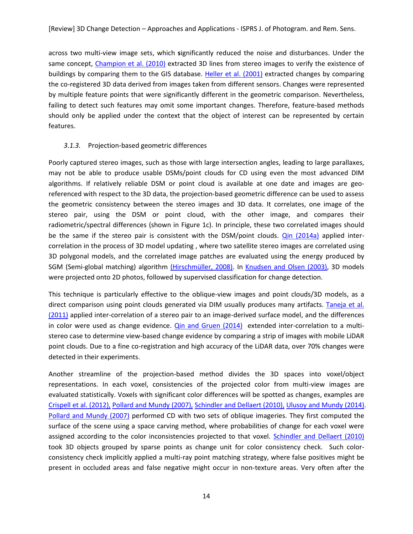across two multi-view image sets, which **s**ignificantly reduced the noise and disturbances. Under the same concept, [Champion et al. \(2010\)](#page-25-11) extracted 3D lines from stereo images to verify the existence of buildings by comparing them to the GIS database. [Heller et al. \(2001\)](#page-27-7) extracted changes by comparing the co-registered 3D data derived from images taken from different sensors. Changes were represented by multiple feature points that were significantly different in the geometric comparison. Nevertheless, failing to detect such features may omit some important changes. Therefore, feature-based methods should only be applied under the context that the object of interest can be represented by certain features.

# *3.1.3.* Projection-based geometric differences

Poorly captured stereo images, such as those with large intersection angles, leading to large parallaxes, may not be able to produce usable DSMs/point clouds for CD using even the most advanced DIM algorithms. If relatively reliable DSM or point cloud is available at one date and images are georeferenced with respect to the 3D data, the projection-based geometric difference can be used to assess the geometric consistency between the stereo images and 3D data. It correlates, one image of the stereo pair, using the DSM or point cloud, with the other image, and compares their radiometric/spectral differences (shown in Figure 1c). In principle, these two correlated images should be the same if the stereo pair is consistent with the DSM/point clouds. [Qin \(2014a\)](#page-30-8) applied intercorrelation in the process of 3D model updating , where two satellite stereo images are correlated using 3D polygonal models, and the correlated image patches are evaluated using the energy produced by SGM (Semi-global matching) algorithm [\(Hirschmüller, 2008\)](#page-27-9). In [Knudsen and Olsen \(2003\)](#page-28-8), 3D models were projected onto 2D photos, followed by supervised classification for change detection.

This technique is particularly effective to the oblique-view images and point clouds/3D models, as a direct comparison using point clouds generated via DIM usually produces many artifacts. [Taneja et al.](#page-32-10)  [\(2011\)](#page-32-10) applied inter-correlation of a stereo pair to an image-derived surface model, and the differences in color were used as change evidence. [Qin and Gruen \(2014\)](#page-30-3) extended inter-correlation to a multistereo case to determine view-based change evidence by comparing a strip of images with mobile LiDAR point clouds. Due to a fine co-registration and high accuracy of the LiDAR data, over 70% changes were detected in their experiments.

Another streamline of the projection-based method divides the 3D spaces into voxel/object representations. In each voxel, consistencies of the projected color from multi-view images are evaluated statistically. Voxels with significant color differences will be spotted as changes, examples are [Crispell et al. \(2012\)](#page-25-12), [Pollard and Mundy \(2007\)](#page-30-13), [Schindler and Dellaert \(2010\)](#page-31-12), [Ulusoy and Mundy \(2014\)](#page-32-11). [Pollard and Mundy \(2007\)](#page-30-13) performed CD with two sets of oblique imageries. They first computed the surface of the scene using a space carving method, where probabilities of change for each voxel were assigned according to the color inconsistencies projected to that voxel. [Schindler and Dellaert \(2010\)](#page-31-12) took 3D objects grouped by sparse points as change unit for color consistency check. Such colorconsistency check implicitly applied a multi-ray point matching strategy, where false positives might be present in occluded areas and false negative might occur in non-texture areas. Very often after the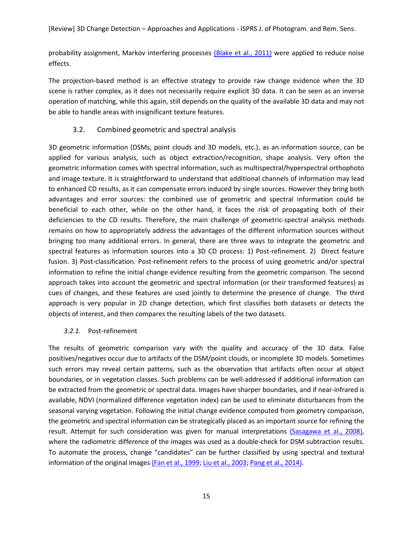probability assignment, Markov interfering processes [\(Blake et al., 2011\)](#page-24-10) were applied to reduce noise effects.

The projection-based method is an effective strategy to provide raw change evidence when the 3D scene is rather complex, as it does not necessarily require explicit 3D data. It can be seen as an inverse operation of matching, while this again, still depends on the quality of the available 3D data and may not be able to handle areas with insignificant texture features.

# 3.2. Combined geometric and spectral analysis

3D geometric information (DSMs, point clouds and 3D models, etc.), as an information source, can be applied for various analysis, such as object extraction/recognition, shape analysis. Very often the geometric information comes with spectral information, such as multispectral/hyperspectral orthophoto and image texture. It is straightforward to understand that additional channels of information may lead to enhanced CD results, as it can compensate errors induced by single sources. However they bring both advantages and error sources: the combined use of geometric and spectral information could be beneficial to each other, while on the other hand, it faces the risk of propagating both of their deficiencies to the CD results. Therefore, the main challenge of geometric-spectral analysis methods remains on how to appropriately address the advantages of the different information sources without bringing too many additional errors. In general, there are three ways to integrate the geometric and spectral features as information sources into a 3D CD process: 1) Post-refinement. 2) Direct feature fusion. 3) Post-classification. Post-refinement refers to the process of using geometric and/or spectral information to refine the initial change evidence resulting from the geometric comparison. The second approach takes into account the geometric and spectral information (or their transformed features) as cues of changes, and these features are used jointly to determine the presence of change. The third approach is very popular in 2D change detection, which first classifies both datasets or detects the objects of interest, and then compares the resulting labels of the two datasets.

# *3.2.1.* Post-refinement

The results of geometric comparison vary with the quality and accuracy of the 3D data. False positives/negatives occur due to artifacts of the DSM/point clouds, or incomplete 3D models. Sometimes such errors may reveal certain patterns, such as the observation that artifacts often occur at object boundaries, or in vegetation classes. Such problems can be well-addressed if additional information can be extracted from the geometric or spectral data. Images have sharper boundaries, and if near-infrared is available, NDVI (normalized difference vegetation index) can be used to eliminate disturbances from the seasonal varying vegetation. Following the initial change evidence computed from geometry comparison, the geometric and spectral information can be strategically placed as an important source for refining the result. Attempt for such consideration was given for manual interpretations [\(Sasagawa et al., 2008\)](#page-31-13), where the radiometric difference of the images was used as a double-check for DSM subtraction results. To automate the process, change "candidates" can be further classified by using spectral and textural information of the original images [\(Fan et al., 1999;](#page-26-12) [Liu et al., 2003;](#page-28-9) [Pang et al., 2014\)](#page-30-14).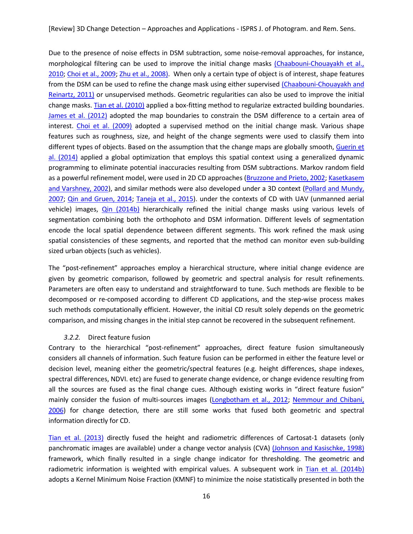Due to the presence of noise effects in DSM subtraction, some noise-removal approaches, for instance, morphological filtering can be used to improve the initial change masks [\(Chaabouni-Chouayakh et al.,](#page-24-7) [2010;](#page-24-7) [Choi et al., 2009;](#page-25-13) [Zhu et al., 2008\)](#page-33-10). When only a certain type of object is of interest, shape features from the DSM can be used to refine the change mask using either supervised [\(Chaabouni-Chouayakh and](#page-24-8)  [Reinartz, 2011\)](#page-24-8) or unsupervised methods. Geometric regularities can also be used to improve the initial change masks. [Tian et al. \(2010\)](#page-32-7) applied a box-fitting method to regularize extracted building boundaries. [James et al. \(2012\)](#page-27-10) adopted the map boundaries to constrain the DSM difference to a certain area of interest. [Choi et al. \(2009\)](#page-25-13) adopted a supervised method on the initial change mask. Various shape features such as roughness, size, and height of the change segments were used to classify them into different types of objects. Based on the assumption that the change maps are globally smooth, Guerin et [al. \(2014\)](#page-26-13) applied a global optimization that employs this spatial context using a generalized dynamic programming to eliminate potential inaccuracies resulting from DSM subtractions. Markov random field as a powerful refinement model, were used in 2D CD approaches [\(Bruzzone and Prieto, 2002;](#page-24-11) Kasetkasem [and Varshney, 2002\)](#page-28-11), and similar methods were also developed under a 3D context [\(Pollard and Mundy,](#page-30-13)  [2007;](#page-30-13) [Qin and Gruen, 2014;](#page-30-3) [Taneja et al., 2015\)](#page-32-16). under the contexts of CD with UAV (unmanned aerial vehicle) images, [Qin \(2014b\)](#page-30-7) hierarchically refined the initial change masks using various levels of segmentation combining both the orthophoto and DSM information. Different levels of segmentation encode the local spatial dependence between different segments. This work refined the mask using spatial consistencies of these segments, and reported that the method can monitor even sub-building sized urban objects (such as vehicles).

The "post-refinement" approaches employ a hierarchical structure, where initial change evidence are given by geometric comparison, followed by geometric and spectral analysis for result refinements. Parameters are often easy to understand and straightforward to tune. Such methods are flexible to be decomposed or re-composed according to different CD applications, and the step-wise process makes such methods computationally efficient. However, the initial CD result solely depends on the geometric comparison, and missing changes in the initial step cannot be recovered in the subsequent refinement.

#### *3.2.2.* Direct feature fusion

Contrary to the hierarchical "post-refinement" approaches, direct feature fusion simultaneously considers all channels of information. Such feature fusion can be performed in either the feature level or decision level, meaning either the geometric/spectral features (e.g. height differences, shape indexes, spectral differences, NDVI. etc) are fused to generate change evidence, or change evidence resulting from all the sources are fused as the final change cues. Although existing works in "direct feature fusion" mainly consider the fusion of multi-sources images [\(Longbotham et al., 2012;](#page-28-12) [Nemmour and Chibani,](#page-29-8)  [2006\)](#page-29-8) for change detection, there are still some works that fused both geometric and spectral information directly for CD.

[Tian et al. \(2013\)](#page-32-4) directly fused the height and radiometric differences of Cartosat-1 datasets (only panchromatic images are available) under a change vector analysis (CVA) [\(Johnson and Kasischke, 1998\)](#page-27-11) framework, which finally resulted in a single change indicator for thresholding. The geometric and radiometric information is weighted with empirical values. A subsequent work in [Tian et al. \(2014b\)](#page-32-3) adopts a Kernel Minimum Noise Fraction (KMNF) to minimize the noise statistically presented in both the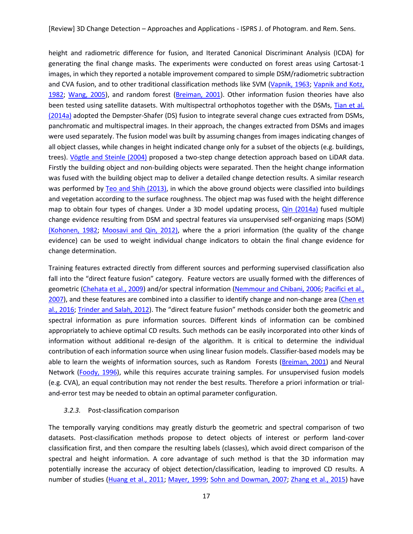height and radiometric difference for fusion, and Iterated Canonical Discriminant Analysis (ICDA) for generating the final change masks. The experiments were conducted on forest areas using Cartosat-1 images, in which they reported a notable improvement compared to simple DSM/radiometric subtraction and CVA fusion, and to other traditional classification methods like SVM [\(Vapnik, 1963;](#page-33-13) [Vapnik and Kotz,](#page-33-14)  [1982;](#page-33-14) [Wang, 2005\)](#page-33-12), and random forest [\(Breiman, 2001\)](#page-24-12). Other information fusion theories have also been tested using satellite datasets. With multispectral orthophotos together with the DSMs, [Tian et al.](#page-32-13)  [\(2014a\)](#page-32-13) adopted the Dempster-Shafer (DS) fusion to integrate several change cues extracted from DSMs, panchromatic and multispectral images. In their approach, the changes extracted from DSMs and images were used separately. The fusion model was built by assuming changes from images indicating changes of all object classes, while changes in height indicated change only for a subset of the objects (e.g. buildings, trees). [Vögtle and Steinle \(2004\)](#page-33-15) proposed a two-step change detection approach based on LiDAR data. Firstly the building object and non-building objects were separated. Then the height change information was fused with the building object map to deliver a detailed change detection results. A similar research was performed by [Teo and Shih \(2013\)](#page-32-17), in which the above ground objects were classified into buildings and vegetation according to the surface roughness. The object map was fused with the height difference map to obtain four types of changes. Under a 3D model updating process, [Qin \(2014a\)](#page-30-8) fused multiple change evidence resulting from DSM and spectral features via unsupervised self-organizing maps (SOM) [\(Kohonen, 1982;](#page-28-13) [Moosavi and Qin, 2012\)](#page-29-13), where the a priori information (the quality of the change evidence) can be used to weight individual change indicators to obtain the final change evidence for change determination.

Training features extracted directly from different sources and performing supervised classification also fall into the "direct feature fusion" category. Feature vectors are usually formed with the differences of geometric [\(Chehata et al., 2009\)](#page-25-15) and/or spectral information [\(Nemmour and Chibani, 2006;](#page-29-8) Pacifici et al., [2007\)](#page-30-4), and these features are combined into a classifier to identify change and non-change area (Chen et [al., 2016;](#page-25-16) [Trinder and Salah, 2012\)](#page-32-14). The "direct feature fusion" methods consider both the geometric and spectral information as pure information sources. Different kinds of information can be combined appropriately to achieve optimal CD results. Such methods can be easily incorporated into other kinds of information without additional re-design of the algorithm. It is critical to determine the individual contribution of each information source when using linear fusion models. Classifier-based models may be able to learn the weights of information sources, such as Random Forests [\(Breiman, 2001\)](#page-24-12) and Neural Network [\(Foody, 1996\)](#page-26-1), while this requires accurate training samples. For unsupervised fusion models (e.g. CVA), an equal contribution may not render the best results. Therefore a priori information or trialand-error test may be needed to obtain an optimal parameter configuration.

## *3.2.3.* Post-classification comparison

The temporally varying conditions may greatly disturb the geometric and spectral comparison of two datasets. Post-classification methods propose to detect objects of interest or perform land-cover classification first, and then compare the resulting labels (classes), which avoid direct comparison of the spectral and height information. A core advantage of such method is that the 3D information may potentially increase the accuracy of object detection/classification, leading to improved CD results. A number of studies [\(Huang et al., 2011;](#page-27-12) [Mayer, 1999;](#page-29-14) [Sohn and Dowman, 2007;](#page-31-16) [Zhang et al., 2015\)](#page-33-4) have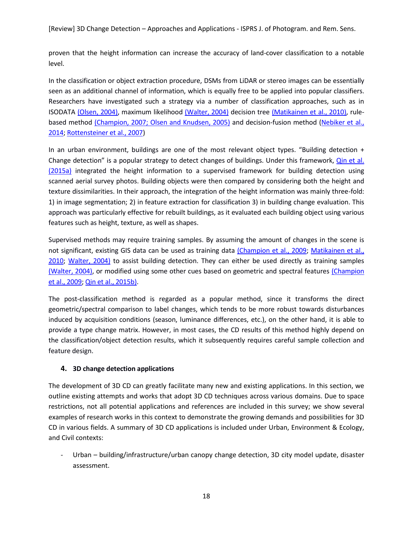proven that the height information can increase the accuracy of land-cover classification to a notable level.

In the classification or object extraction procedure, DSMs from LiDAR or stereo images can be essentially seen as an additional channel of information, which is equally free to be applied into popular classifiers. Researchers have investigated such a strategy via a number of classification approaches, such as in ISODATA [\(Olsen, 2004\)](#page-30-15), maximum likelihood [\(Walter, 2004\)](#page-33-11) decision tree [\(Matikainen et al., 2010\)](#page-29-9), rule-based method [\(Champion, 2007;](#page-24-9) [Olsen and Knudsen, 2005\)](#page-30-16) and decision-fusion method (Nebiker et al., [2014;](#page-29-10) [Rottensteiner et al., 2007\)](#page-31-14)

In an urban environment, buildings are one of the most relevant object types. "Building detection + Change detection" is a popular strategy to detect changes of buildings. Under this framework, [Qin et al.](#page-30-11)  [\(2015a\)](#page-30-11) integrated the height information to a supervised framework for building detection using scanned aerial survey photos. Building objects were then compared by considering both the height and texture dissimilarities. In their approach, the integration of the height information was mainly three-fold: 1) in image segmentation; 2) in feature extraction for classification 3) in building change evaluation. This approach was particularly effective for rebuilt buildings, as it evaluated each building object using various features such as height, texture, as well as shapes.

Supervised methods may require training samples. By assuming the amount of changes in the scene is not significant, existing GIS data can be used as training data [\(Champion et al., 2009;](#page-25-14) [Matikainen et al.,](#page-29-9)  [2010;](#page-29-9) [Walter, 2004\)](#page-33-11) to assist building detection. They can either be used directly as training samples [\(Walter,](#page-33-11) 2004), or modified using some other cues based on geometric and spectral features [\(Champion](#page-25-14)  [et al., 2009;](#page-25-14) [Qin et al., 2015b\)](#page-30-6).

The post-classification method is regarded as a popular method, since it transforms the direct geometric/spectral comparison to label changes, which tends to be more robust towards disturbances induced by acquisition conditions (season, luminance differences, etc.), on the other hand, it is able to provide a type change matrix. However, in most cases, the CD results of this method highly depend on the classification/object detection results, which it subsequently requires careful sample collection and feature design.

# **4. 3D change detection applications**

The development of 3D CD can greatly facilitate many new and existing applications. In this section, we outline existing attempts and works that adopt 3D CD techniques across various domains. Due to space restrictions, not all potential applications and references are included in this survey; we show several examples of research works in this context to demonstrate the growing demands and possibilities for 3D CD in various fields. A summary of 3D CD applications is included under Urban, Environment & Ecology, and Civil contexts:

Urban – building/infrastructure/urban canopy change detection, 3D city model update, disaster assessment.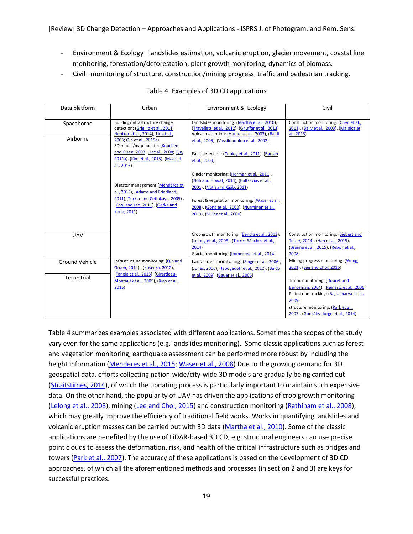- Environment & Ecology –landslides estimation, volcanic eruption, glacier movement, coastal line monitoring, forestation/deforestation, plant growth monitoring, dynamics of biomass.
- Civil monitoring of structure, construction/mining progress, traffic and pedestrian tracking.

| Data platform         | Urban                                                                                                      | Environment & Ecology                                                                                                                                  | Civil                                                                                            |
|-----------------------|------------------------------------------------------------------------------------------------------------|--------------------------------------------------------------------------------------------------------------------------------------------------------|--------------------------------------------------------------------------------------------------|
| Spaceborne            | Building/infrastructure change<br>detection: (Grigillo et al., 2011;<br>Nebiker et al., 2014),(Liu et al., | Landslides monitoring: (Martha et al., 2010),<br>(Travelletti et al., 2012), (Ghuffar et al., 2013)<br>Volcano eruption: (Hunter et al., 2003), (Baldi | Construction monitoring: (Chen et al.,<br>2011), (Baily et al., 2003), (Malpica et<br>al., 2013) |
| Airborne              | 2003; Qin et al., 2015a)<br>3D model/map update: (Knudsen                                                  | et al., 2005), (Vassilopoulou et al., 2002)                                                                                                            |                                                                                                  |
|                       | and Olsen, 2003; Li et al., 2008; Qin,<br>2014a), (Kim et al., 2013), (Maas et<br>al., 2016)               | Fault detection: (Copley et al., 2011), (Barisin<br>et al., 2009).                                                                                     |                                                                                                  |
|                       | Disaster management: (Menderes et<br>al., 2015), (Adams and Friedland,                                     | Glacier monitoring: (Herman et al., 2011),<br>(Noh and Howat, 2014), (Baltsavias et al.,<br>2001), (Nuth and Kääb, 2011)                               |                                                                                                  |
|                       | 2011),(Turker and Cetinkaya, 2005),<br>(Choi and Lee, 2011), (Gerke and<br>Kerle, 2011)                    | Forest & vegetation monitoring: (Waser et al.,<br>2008), (Gong et al., 2000), (Nurminen et al.,<br>2013), (Miller et al., 2000)                        |                                                                                                  |
|                       |                                                                                                            |                                                                                                                                                        |                                                                                                  |
| <b>UAV</b>            |                                                                                                            | Crop growth monitoring: (Bendig et al., 2013),<br>(Lelong et al., 2008), (Torres-Sánchez et al.,                                                       | Construction monitoring: (Siebert and<br>Teizer, 2014), (Han et al., 2015),                      |
|                       |                                                                                                            | 2014)                                                                                                                                                  | (Brauna et al., 2015), (Rebolj et al.,                                                           |
|                       |                                                                                                            | Glacier monitoring: (Immerzeel et al., 2014)                                                                                                           | 2008)                                                                                            |
| <b>Ground Vehicle</b> | Infrastructure monitoring: (Qin and<br>Gruen, 2014), (Košecka, 2012),                                      | Landslides monitoring: (Singer et al., 2006),                                                                                                          | Mining progress monitoring: (Wong,<br>2001), (Lee and Choi, 2015)                                |
|                       | (Taneja et al., 2015), (Girardeau-                                                                         | (Jones, 2006), (Jaboyedoff et al., 2012), (Baldo<br>et al., 2009), (Bauer et al., 2005)                                                                |                                                                                                  |
| Terrestrial           | Montaut et al., 2005), (Xiao et al.,                                                                       |                                                                                                                                                        | Traffic monitoring: (Douret and                                                                  |
|                       | 2015)                                                                                                      |                                                                                                                                                        | Benosman, 2004), (Reinartz et al., 2006)                                                         |
|                       |                                                                                                            |                                                                                                                                                        | Pedestrian tracking: (Bajracharya et al.,                                                        |
|                       |                                                                                                            |                                                                                                                                                        | 2009)<br>structure monitoring: (Park et al.,                                                     |
|                       |                                                                                                            |                                                                                                                                                        | 2007), (González-Jorge et al., 2014)                                                             |

# Table 4. Examples of 3D CD applications

Table 4 summarizes examples associated with different applications. Sometimes the scopes of the study vary even for the same applications (e.g. landslides monitoring). Some classic applications such as forest and vegetation monitoring, earthquake assessment can be performed more robust by including the height information [\(Menderes et al., 2015;](#page-29-11) [Waser et al., 2008\)](#page-33-1) Due to the growing demand for 3D geospatial data, efforts collecting nation-wide/city-wide 3D models are gradually being carried out [\(Straitstimes, 2014\)](#page-32-19), of which the updating process is particularly important to maintain such expensive data. On the other hand, the popularity of UAV has driven the applications of crop growth monitoring [\(Lelong et al., 2008\)](#page-28-16), mining [\(Lee and Choi, 2015\)](#page-28-17) and construction monitoring [\(Rathinam et al., 2008\)](#page-30-20), which may greatly improve the efficiency of traditional field works. Works in quantifying landslides and volcanic eruption masses can be carried out with 3D data [\(Martha et al., 2010\)](#page-29-3). Some of the classic applications are benefited by the use of LiDAR-based 3D CD, e.g. structural engineers can use precise point clouds to assess the deformation, risk, and health of the critical infrastructure such as bridges and towers [\(Park et al., 2007\)](#page-30-19). The accuracy of these applications is based on the development of 3D CD approaches, of which all the aforementioned methods and processes (in section 2 and 3) are keys for successful practices.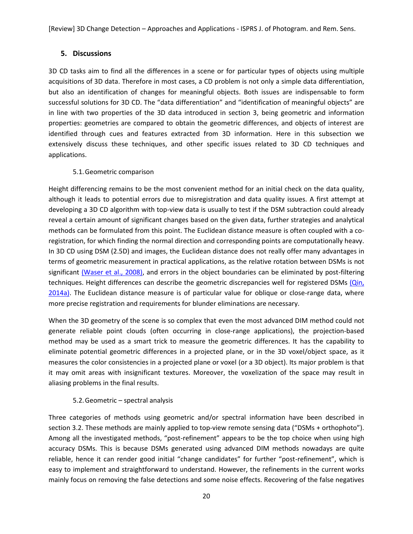# **5. Discussions**

3D CD tasks aim to find all the differences in a scene or for particular types of objects using multiple acquisitions of 3D data. Therefore in most cases, a CD problem is not only a simple data differentiation, but also an identification of changes for meaningful objects. Both issues are indispensable to form successful solutions for 3D CD. The "data differentiation" and "identification of meaningful objects" are in line with two properties of the 3D data introduced in section 3, being geometric and information properties: geometries are compared to obtain the geometric differences, and objects of interest are identified through cues and features extracted from 3D information. Here in this subsection we extensively discuss these techniques, and other specific issues related to 3D CD techniques and applications.

# 5.1.Geometric comparison

Height differencing remains to be the most convenient method for an initial check on the data quality, although it leads to potential errors due to misregistration and data quality issues. A first attempt at developing a 3D CD algorithm with top-view data is usually to test if the DSM subtraction could already reveal a certain amount of significant changes based on the given data, further strategies and analytical methods can be formulated from this point. The Euclidean distance measure is often coupled with a coregistration, for which finding the normal direction and corresponding points are computationally heavy. In 3D CD using DSM (2.5D) and images, the Euclidean distance does not really offer many advantages in terms of geometric measurement in practical applications, as the relative rotation between DSMs is not significant [\(Waser et al., 2008\)](#page-33-1), and errors in the object boundaries can be eliminated by post-filtering techniques. Height differences can describe the geometric discrepancies well for registered DSMs (Qin, [2014a\)](#page-30-8). The Euclidean distance measure is of particular value for oblique or close-range data, where more precise registration and requirements for blunder eliminations are necessary.

When the 3D geometry of the scene is so complex that even the most advanced DIM method could not generate reliable point clouds (often occurring in close-range applications), the projection-based method may be used as a smart trick to measure the geometric differences. It has the capability to eliminate potential geometric differences in a projected plane, or in the 3D voxel/object space, as it measures the color consistencies in a projected plane or voxel (or a 3D object). Its major problem is that it may omit areas with insignificant textures. Moreover, the voxelization of the space may result in aliasing problems in the final results.

# 5.2.Geometric – spectral analysis

Three categories of methods using geometric and/or spectral information have been described in section 3.2. These methods are mainly applied to top-view remote sensing data ("DSMs + orthophoto"). Among all the investigated methods, "post-refinement" appears to be the top choice when using high accuracy DSMs. This is because DSMs generated using advanced DIM methods nowadays are quite reliable, hence it can render good initial "change candidates" for further "post-refinement", which is easy to implement and straightforward to understand. However, the refinements in the current works mainly focus on removing the false detections and some noise effects. Recovering of the false negatives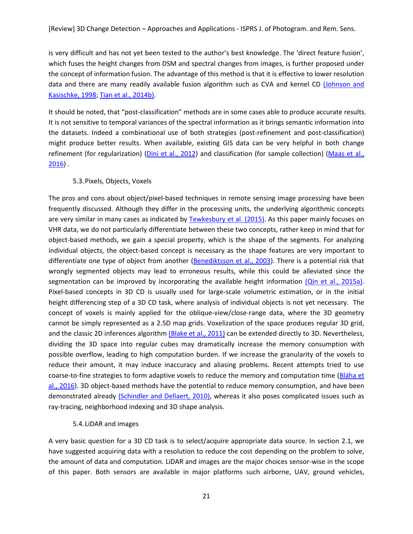is very difficult and has not yet been tested to the author's best knowledge. The 'direct feature fusion', which fuses the height changes from DSM and spectral changes from images, is further proposed under the concept of information fusion. The advantage of this method is that it is effective to lower resolution data and there are many readily available fusion algorithm such as CVA and kernel CD (Johnson and [Kasischke,](#page-27-11) 1998; [Tian et al., 2014b\)](#page-32-3).

It should be noted, that "post-classification" methods are in some cases able to produce accurate results. It is not sensitive to temporal variances of the spectral information as it brings semantic information into the datasets. Indeed a combinational use of both strategies (post-refinement and post-classification) might produce better results. When available, existing GIS data can be very helpful in both change refinement (for regularization) [\(Dini et al., 2012\)](#page-25-10) and classification (for sample collection) [\(Maas et al.,](#page-28-15)  [2016\)](#page-28-15) .

#### 5.3.Pixels, Objects, Voxels

The pros and cons about object/pixel-based techniques in remote sensing image processing have been frequently discussed. Although they differ in the processing units, the underlying algorithmic concepts are very similar in many cases as indicated by [Tewkesbury et al. \(2015\)](#page-32-1). As this paper mainly focuses on VHR data, we do not particularly differentiate between these two concepts, rather keep in mind that for object-based methods, we gain a special property, which is the shape of the segments. For analyzing individual objects, the object-based concept is necessary as the shape features are very important to differentiate one type of object from another [\(Benediktsson et al., 2003\)](#page-24-17). There is a potential risk that wrongly segmented objects may lead to erroneous results, while this could be alleviated since the segmentation can be improved by incorporating the available height information (Qin [et al., 2015a\)](#page-30-11). Pixel-based concepts in 3D CD is usually used for large-scale volumetric estimation, or in the initial height differencing step of a 3D CD task, where analysis of individual objects is not yet necessary. The concept of voxels is mainly applied for the oblique-view/close-range data, where the 3D geometry cannot be simply represented as a 2.5D map grids. Voxelization of the space produces regular 3D grid, and the classic 2D inferences algorithm [\(Blake et al., 2011\)](#page-24-10) can be extended directly to 3D. Nevertheless, dividing the 3D space into regular cubes may dramatically increase the memory consumption with possible overflow, leading to high computation burden. If we increase the granularity of the voxels to reduce their amount, it may induce inaccuracy and aliasing problems. Recent attempts tried to use coarse-to-fine strategies to form adaptive voxels to reduce the memory and computation time [\(Bláha et](#page-24-18)  [al., 2016\)](#page-24-18). 3D object-based methods have the potential to reduce memory consumption, and have been demonstrated already [\(Schindler and Dellaert, 2010\)](#page-31-12), whereas it also poses complicated issues such as ray-tracing, neighborhood indexing and 3D shape analysis.

## 5.4. LiDAR and images

A very basic question for a 3D CD task is to select/acquire appropriate data source. In section 2.1, we have suggested acquiring data with a resolution to reduce the cost depending on the problem to solve, the amount of data and computation. LiDAR and images are the major choices sensor-wise in the scope of this paper. Both sensors are available in major platforms such airborne, UAV, ground vehicles,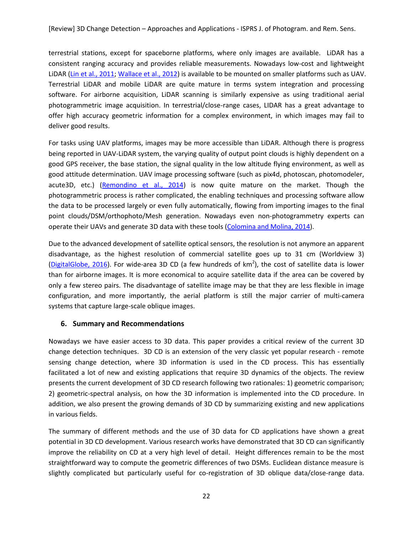terrestrial stations, except for spaceborne platforms, where only images are available. LiDAR has a consistent ranging accuracy and provides reliable measurements. Nowadays low-cost and lightweight LiDAR [\(Lin et al., 2011;](#page-28-18) [Wallace et al., 2012\)](#page-33-18) is available to be mounted on smaller platforms such as UAV. Terrestrial LiDAR and mobile LiDAR are quite mature in terms system integration and processing software. For airborne acquisition, LiDAR scanning is similarly expensive as using traditional aerial photogrammetric image acquisition. In terrestrial/close-range cases, LIDAR has a great advantage to offer high accuracy geometric information for a complex environment, in which images may fail to deliver good results.

For tasks using UAV platforms, images may be more accessible than LiDAR. Although there is progress being reported in UAV-LiDAR system, the varying quality of output point clouds is highly dependent on a good GPS receiver, the base station, the signal quality in the low altitude flying environment, as well as good attitude determination. UAV image processing software (such as pix4d, photoscan, photomodeler, acute3D, etc.) [\(Remondino et al., 2014\)](#page-31-5) is now quite mature on the market. Though the photogrammetric process is rather complicated, the enabling techniques and processing software allow the data to be processed largely or even fully automatically, flowing from importing images to the final point clouds/DSM/orthophoto/Mesh generation. Nowadays even non-photogrammetry experts can operate their UAVs and generate 3D data with these tools [\(Colomina and Molina, 2014\)](#page-25-6).

Due to the advanced development of satellite optical sensors, the resolution is not anymore an apparent disadvantage, as the highest resolution of commercial satellite goes up to 31 cm (Worldview 3) [\(DigitalGlobe, 2016\)](#page-25-19). For wide-area 3D CD (a few hundreds of  $km^2$ ), the cost of satellite data is lower than for airborne images. It is more economical to acquire satellite data if the area can be covered by only a few stereo pairs. The disadvantage of satellite image may be that they are less flexible in image configuration, and more importantly, the aerial platform is still the major carrier of multi-camera systems that capture large-scale oblique images.

## **6. Summary and Recommendations**

Nowadays we have easier access to 3D data. This paper provides a critical review of the current 3D change detection techniques. 3D CD is an extension of the very classic yet popular research - remote sensing change detection, where 3D information is used in the CD process. This has essentially facilitated a lot of new and existing applications that require 3D dynamics of the objects. The review presents the current development of 3D CD research following two rationales: 1) geometric comparison; 2) geometric-spectral analysis, on how the 3D information is implemented into the CD procedure. In addition, we also present the growing demands of 3D CD by summarizing existing and new applications in various fields.

The summary of different methods and the use of 3D data for CD applications have shown a great potential in 3D CD development. Various research works have demonstrated that 3D CD can significantly improve the reliability on CD at a very high level of detail. Height differences remain to be the most straightforward way to compute the geometric differences of two DSMs. Euclidean distance measure is slightly complicated but particularly useful for co-registration of 3D oblique data/close-range data.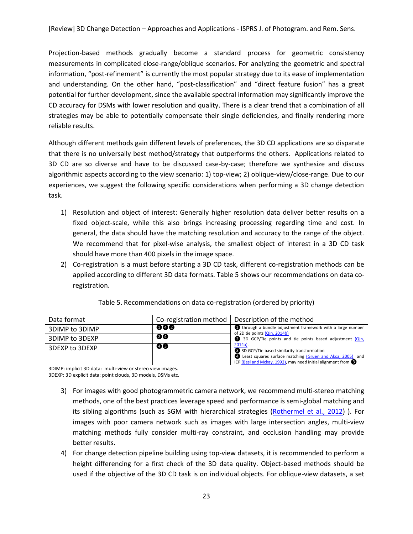Projection-based methods gradually become a standard process for geometric consistency measurements in complicated close-range/oblique scenarios. For analyzing the geometric and spectral information, "post-refinement" is currently the most popular strategy due to its ease of implementation and understanding. On the other hand, "post-classification" and "direct feature fusion" has a great potential for further development, since the available spectral information may significantly improve the CD accuracy for DSMs with lower resolution and quality. There is a clear trend that a combination of all strategies may be able to potentially compensate their single deficiencies, and finally rendering more reliable results.

Although different methods gain different levels of preferences, the 3D CD applications are so disparate that there is no universally best method/strategy that outperforms the others. Applications related to 3D CD are so diverse and have to be discussed case-by-case; therefore we synthesize and discuss algorithmic aspects according to the view scenario: 1) top-view; 2) oblique-view/close-range. Due to our experiences, we suggest the following specific considerations when performing a 3D change detection task.

- 1) Resolution and object of interest: Generally higher resolution data deliver better results on a fixed object-scale, while this also brings increasing processing regarding time and cost. In general, the data should have the matching resolution and accuracy to the range of the object. We recommend that for pixel-wise analysis, the smallest object of interest in a 3D CD task should have more than 400 pixels in the image space.
- 2) Co-registration is a must before starting a 3D CD task, different co-registration methods can be applied according to different 3D data formats. Table 5 shows our recommendations on data coregistration.

| Data format    |     | Co-registration method   Description of the method                                                                                                                                              |  |
|----------------|-----|-------------------------------------------------------------------------------------------------------------------------------------------------------------------------------------------------|--|
| 3DIMP to 3DIMP | 000 | through a bundle adjustment framework with a large number<br>of 2D tie points (Qin, 2014b)                                                                                                      |  |
| 3DIMP to 3DEXP | 00  | 3D GCP/Tie points and tie points based adjustment (Qin,                                                                                                                                         |  |
| 3DEXP to 3DEXP | 40  | $2014a$ ).<br>3D GCP/Tie based similarity transformation<br>Least squares surface matching (Gruen and Akca, 2005) and<br>ICP (Besl and Mckay, 1992), may need initial alignment from $\bigcirc$ |  |

3DIMP: implicit 3D data: multi-view or stereo view images.

3DEXP: 3D explicit data: point clouds, 3D models, DSMs etc.

- 3) For images with good photogrammetric camera network, we recommend multi-stereo matching methods, one of the best practices leverage speed and performance is semi-global matching and its sibling algorithms (such as SGM with hierarchical strategies [\(Rothermel et al., 2012\)](#page-31-19)). For images with poor camera network such as images with large intersection angles, multi-view matching methods fully consider multi-ray constraint, and occlusion handling may provide better results.
- 4) For change detection pipeline building using top-view datasets, it is recommended to perform a height differencing for a first check of the 3D data quality. Object-based methods should be used if the objective of the 3D CD task is on individual objects. For oblique-view datasets, a set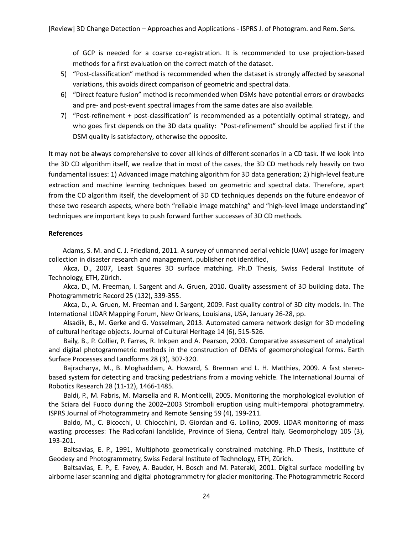of GCP is needed for a coarse co-registration. It is recommended to use projection-based methods for a first evaluation on the correct match of the dataset.

- 5) "Post-classification" method is recommended when the dataset is strongly affected by seasonal variations, this avoids direct comparison of geometric and spectral data.
- 6) "Direct feature fusion" method is recommended when DSMs have potential errors or drawbacks and pre- and post-event spectral images from the same dates are also available.
- 7) "Post-refinement + post-classification" is recommended as a potentially optimal strategy, and who goes first depends on the 3D data quality: "Post-refinement" should be applied first if the DSM quality is satisfactory, otherwise the opposite.

It may not be always comprehensive to cover all kinds of different scenarios in a CD task. If we look into the 3D CD algorithm itself, we realize that in most of the cases, the 3D CD methods rely heavily on two fundamental issues: 1) Advanced image matching algorithm for 3D data generation; 2) high-level feature extraction and machine learning techniques based on geometric and spectral data. Therefore, apart from the CD algorithm itself, the development of 3D CD techniques depends on the future endeavor of these two research aspects, where both "reliable image matching" and "high-level image understanding" techniques are important keys to push forward further successes of 3D CD methods.

## **References**

<span id="page-23-5"></span>Adams, S. M. and C. J. Friedland, 2011. A survey of unmanned aerial vehicle (UAV) usage for imagery collection in disaster research and management. publisher not identified,

<span id="page-23-4"></span>Akca, D., 2007, Least Squares 3D surface matching. Ph.D Thesis, Swiss Federal Institute of Technology, ETH, Zürich.

<span id="page-23-2"></span>Akca, D., M. Freeman, I. Sargent and A. Gruen, 2010. Quality assessment of 3D building data. The Photogrammetric Record 25 (132), 339-355.

<span id="page-23-3"></span>Akca, D., A. Gruen, M. Freeman and I. Sargent, 2009. Fast quality control of 3D city models. In: The International LIDAR Mapping Forum, New Orleans, Louisiana, USA, January 26-28, pp.

<span id="page-23-0"></span>Alsadik, B., M. Gerke and G. Vosselman, 2013. Automated camera network design for 3D modeling of cultural heritage objects. Journal of Cultural Heritage 14 (6), 515-526.

<span id="page-23-8"></span>Baily, B., P. Collier, P. Farres, R. Inkpen and A. Pearson, 2003. Comparative assessment of analytical and digital photogrammetric methods in the construction of DEMs of geomorphological forms. Earth Surface Processes and Landforms 28 (3), 307-320.

<span id="page-23-9"></span>Bajracharya, M., B. Moghaddam, A. Howard, S. Brennan and L. H. Matthies, 2009. A fast stereobased system for detecting and tracking pedestrians from a moving vehicle. The International Journal of Robotics Research 28 (11-12), 1466-1485.

<span id="page-23-6"></span>Baldi, P., M. Fabris, M. Marsella and R. Monticelli, 2005. Monitoring the morphological evolution of the Sciara del Fuoco during the 2002–2003 Stromboli eruption using multi-temporal photogrammetry. ISPRS Journal of Photogrammetry and Remote Sensing 59 (4), 199-211.

<span id="page-23-10"></span>Baldo, M., C. Bicocchi, U. Chiocchini, D. Giordan and G. Lollino, 2009. LIDAR monitoring of mass wasting processes: The Radicofani landslide, Province of Siena, Central Italy. Geomorphology 105 (3), 193-201.

<span id="page-23-1"></span>Baltsavias, E. P., 1991, Multiphoto geometrically constrained matching. Ph.D Thesis, Instittute of Geodesy and Photogrammetry, Swiss Federal Institute of Technology, ETH, Zürich.

<span id="page-23-7"></span>Baltsavias, E. P., E. Favey, A. Bauder, H. Bosch and M. Pateraki, 2001. Digital surface modelling by airborne laser scanning and digital photogrammetry for glacier monitoring. The Photogrammetric Record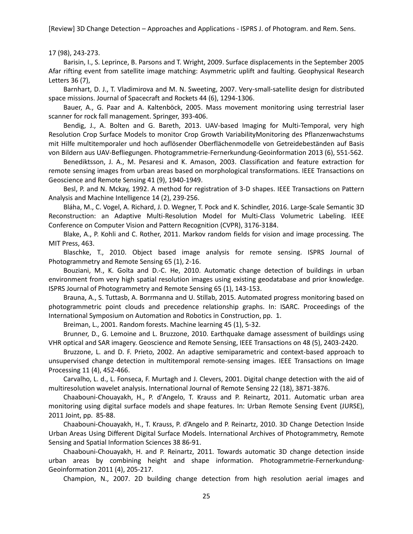17 (98), 243-273.

<span id="page-24-13"></span>Barisin, I., S. Leprince, B. Parsons and T. Wright, 2009. Surface displacements in the September 2005 Afar rifting event from satellite image matching: Asymmetric uplift and faulting. Geophysical Research Letters 36 (7),

<span id="page-24-4"></span>Barnhart, D. J., T. Vladimirova and M. N. Sweeting, 2007. Very-small-satellite design for distributed space missions. Journal of Spacecraft and Rockets 44 (6), 1294-1306.

<span id="page-24-16"></span>Bauer, A., G. Paar and A. Kaltenböck, 2005. Mass movement monitoring using terrestrial laser scanner for rock fall management. Springer, 393-406.

<span id="page-24-14"></span>Bendig, J., A. Bolten and G. Bareth, 2013. UAV-based Imaging for Multi-Temporal, very high Resolution Crop Surface Models to monitor Crop Growth VariabilityMonitoring des Pflanzenwachstums mit Hilfe multitemporaler und hoch auflösender Oberflächenmodelle von Getreidebeständen auf Basis von Bildern aus UAV-Befliegungen. Photogrammetrie-Fernerkundung-Geoinformation 2013 (6), 551-562.

<span id="page-24-17"></span>Benediktsson, J. A., M. Pesaresi and K. Amason, 2003. Classification and feature extraction for remote sensing images from urban areas based on morphological transformations. IEEE Transactions on Geoscience and Remote Sensing 41 (9), 1940-1949.

<span id="page-24-5"></span>Besl, P. and N. Mckay, 1992. A method for registration of 3-D shapes. IEEE Transactions on Pattern Analysis and Machine Intelligence 14 (2), 239-256.

<span id="page-24-18"></span>Bláha, M., C. Vogel, A. Richard, J. D. Wegner, T. Pock and K. Schindler, 2016. Large-Scale Semantic 3D Reconstruction: an Adaptive Multi-Resolution Model for Multi-Class Volumetric Labeling. IEEE Conference on Computer Vision and Pattern Recognition (CVPR), 3176-3184.

<span id="page-24-10"></span>Blake, A., P. Kohli and C. Rother, 2011. Markov random fields for vision and image processing. The MIT Press, 463.

<span id="page-24-2"></span>Blaschke, T., 2010. Object based image analysis for remote sensing. ISPRS Journal of Photogrammetry and Remote Sensing 65 (1), 2-16.

<span id="page-24-1"></span>Bouziani, M., K. Goïta and D.-C. He, 2010. Automatic change detection of buildings in urban environment from very high spatial resolution images using existing geodatabase and prior knowledge. ISPRS Journal of Photogrammetry and Remote Sensing 65 (1), 143-153.

<span id="page-24-15"></span>Brauna, A., S. Tuttasb, A. Borrmanna and U. Stillab, 2015. Automated progress monitoring based on photogrammetric point clouds and precedence relationship graphs. In: ISARC. Proceedings of the International Symposium on Automation and Robotics in Construction, pp. 1.

Breiman, L., 2001. Random forests. Machine learning 45 (1), 5-32.

<span id="page-24-12"></span><span id="page-24-0"></span>Brunner, D., G. Lemoine and L. Bruzzone, 2010. Earthquake damage assessment of buildings using VHR optical and SAR imagery. Geoscience and Remote Sensing, IEEE Transactions on 48 (5), 2403-2420.

<span id="page-24-11"></span>Bruzzone, L. and D. F. Prieto, 2002. An adaptive semiparametric and context-based approach to unsupervised change detection in multitemporal remote-sensing images. IEEE Transactions on Image Processing 11 (4), 452-466.

<span id="page-24-3"></span>Carvalho, L. d., L. Fonseca, F. Murtagh and J. Clevers, 2001. Digital change detection with the aid of multiresolution wavelet analysis. International Journal of Remote Sensing 22 (18), 3871-3876.

<span id="page-24-6"></span>Chaabouni-Chouayakh, H., P. d'Angelo, T. Krauss and P. Reinartz, 2011. Automatic urban area monitoring using digital surface models and shape features. In: Urban Remote Sensing Event (JURSE), 2011 Joint, pp. 85-88.

<span id="page-24-7"></span>Chaabouni-Chouayakh, H., T. Krauss, P. d'Angelo and P. Reinartz, 2010. 3D Change Detection Inside Urban Areas Using Different Digital Surface Models. International Archives of Photogrammetry, Remote Sensing and Spatial Information Sciences 38 86-91.

<span id="page-24-8"></span>Chaabouni-Chouayakh, H. and P. Reinartz, 2011. Towards automatic 3D change detection inside urban areas by combining height and shape information. Photogrammetrie-Fernerkundung-Geoinformation 2011 (4), 205-217.

<span id="page-24-9"></span>Champion, N., 2007. 2D building change detection from high resolution aerial images and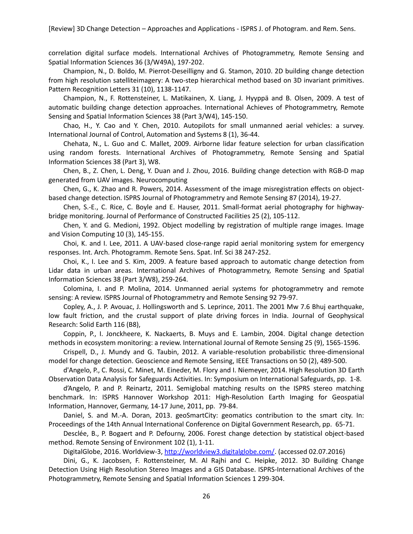correlation digital surface models. International Archives of Photogrammetry, Remote Sensing and Spatial Information Sciences 36 (3/W49A), 197-202.

<span id="page-25-11"></span>Champion, N., D. Boldo, M. Pierrot-Deseilligny and G. Stamon, 2010. 2D building change detection from high resolution satelliteimagery: A two-step hierarchical method based on 3D invariant primitives. Pattern Recognition Letters 31 (10), 1138-1147.

<span id="page-25-14"></span>Champion, N., F. Rottensteiner, L. Matikainen, X. Liang, J. Hyyppä and B. Olsen, 2009. A test of automatic building change detection approaches. International Achieves of Photogrammetry, Remote Sensing and Spatial Information Sciences 38 (Part 3/W4), 145-150.

<span id="page-25-5"></span>Chao, H., Y. Cao and Y. Chen, 2010. Autopilots for small unmanned aerial vehicles: a survey. International Journal of Control, Automation and Systems 8 (1), 36-44.

<span id="page-25-15"></span>Chehata, N., L. Guo and C. Mallet, 2009. Airborne lidar feature selection for urban classification using random forests. International Archives of Photogrammetry, Remote Sensing and Spatial Information Sciences 38 (Part 3), W8.

<span id="page-25-16"></span>Chen, B., Z. Chen, L. Deng, Y. Duan and J. Zhou, 2016. Building change detection with RGB-D map generated from UAV images. Neurocomputing

<span id="page-25-3"></span>Chen, G., K. Zhao and R. Powers, 2014. Assessment of the image misregistration effects on objectbased change detection. ISPRS Journal of Photogrammetry and Remote Sensing 87 (2014), 19-27.

<span id="page-25-18"></span>Chen, S.-E., C. Rice, C. Boyle and E. Hauser, 2011. Small-format aerial photography for highwaybridge monitoring. Journal of Performance of Constructed Facilities 25 (2), 105-112.

<span id="page-25-9"></span>Chen, Y. and G. Medioni, 1992. Object modelling by registration of multiple range images. Image and Vision Computing 10 (3), 145-155.

<span id="page-25-1"></span>Choi, K. and I. Lee, 2011. A UAV-based close-range rapid aerial monitoring system for emergency responses. Int. Arch. Photogramm. Remote Sens. Spat. Inf. Sci 38 247-252.

<span id="page-25-13"></span>Choi, K., I. Lee and S. Kim, 2009. A feature based approach to automatic change detection from Lidar data in urban areas. International Archives of Photogrammetry, Remote Sensing and Spatial Information Sciences 38 (Part 3/W8), 259-264.

<span id="page-25-6"></span>Colomina, I. and P. Molina, 2014. Unmanned aerial systems for photogrammetry and remote sensing: A review. ISPRS Journal of Photogrammetry and Remote Sensing 92 79-97.

<span id="page-25-17"></span>Copley, A., J. P. Avouac, J. Hollingsworth and S. Leprince, 2011. The 2001 Mw 7.6 Bhuj earthquake, low fault friction, and the crustal support of plate driving forces in India. Journal of Geophysical Research: Solid Earth 116 (B8),

<span id="page-25-2"></span>Coppin, P., I. Jonckheere, K. Nackaerts, B. Muys and E. Lambin, 2004. Digital change detection methods in ecosystem monitoring: a review. International Journal of Remote Sensing 25 (9), 1565-1596.

<span id="page-25-12"></span>Crispell, D., J. Mundy and G. Taubin, 2012. A variable-resolution probabilistic three-dimensional model for change detection. Geoscience and Remote Sensing, IEEE Transactions on 50 (2), 489-500.

<span id="page-25-7"></span>d'Angelo, P., C. Rossi, C. Minet, M. Eineder, M. Flory and I. Niemeyer, 2014. High Resolution 3D Earth Observation Data Analysis for Safeguards Activities. In: Symposium on International Safeguards, pp. 1-8.

<span id="page-25-8"></span>d'Angelo, P. and P. Reinartz, 2011. Semiglobal matching results on the ISPRS stereo matching benchmark. In: ISPRS Hannover Workshop 2011: High-Resolution Earth Imaging for Geospatial Information, Hannover, Germany, 14-17 June, 2011, pp. 79-84.

<span id="page-25-0"></span>Daniel, S. and M.-A. Doran, 2013. geoSmartCity: geomatics contribution to the smart city. In: Proceedings of the 14th Annual International Conference on Digital Government Research, pp. 65-71.

<span id="page-25-4"></span>Desclée, B., P. Bogaert and P. Defourny, 2006. Forest change detection by statistical object-based method. Remote Sensing of Environment 102 (1), 1-11.

DigitalGlobe, 2016. Worldview-3, [http://worldview3.digitalglobe.com/.](http://worldview3.digitalglobe.com/) (accessed 02.07.2016)

<span id="page-25-19"></span><span id="page-25-10"></span>Dini, G., K. Jacobsen, F. Rottensteiner, M. Al Rajhi and C. Heipke, 2012. 3D Building Change Detection Using High Resolution Stereo Images and a GIS Database. ISPRS-International Archives of the Photogrammetry, Remote Sensing and Spatial Information Sciences 1 299-304.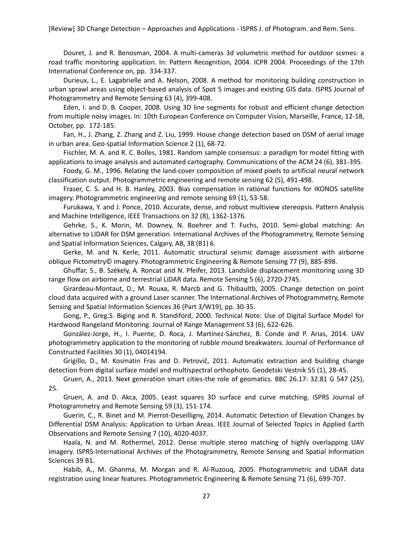<span id="page-26-18"></span>Douret, J. and R. Benosman, 2004. A multi-cameras 3d volumetric method for outdoor scenes: a road traffic monitoring application. In: Pattern Recognition, 2004. ICPR 2004. Proceedings of the 17th International Conference on, pp. 334-337.

<span id="page-26-2"></span>Durieux, L., E. Lagabrielle and A. Nelson, 2008. A method for monitoring building construction in urban sprawl areas using object-based analysis of Spot 5 images and existing GIS data. ISPRS Journal of Photogrammetry and Remote Sensing 63 (4), 399-408.

<span id="page-26-10"></span>Eden, I. and D. B. Cooper, 2008. Using 3D line segments for robust and efficient change detection from multiple noisy images. In: 10th European Conference on Computer Vision, Marseille, France, 12-18, October, pp. 172-185.

<span id="page-26-12"></span>Fan, H., J. Zhang, Z. Zhang and Z. Liu, 1999. House change detection based on DSM of aerial image in urban area. Geo-spatial Information Science 2 (1), 68-72.

<span id="page-26-7"></span>Fischler, M. A. and R. C. Bolles, 1981. Random sample consensus: a paradigm for model fitting with applications to image analysis and automated cartography. Communications of the ACM 24 (6), 381-395.

<span id="page-26-1"></span>Foody, G. M., 1996. Relating the land-cover composition of mixed pixels to artificial neural network classification output. Photogrammetric engineering and remote sensing 62 (5), 491-498.

<span id="page-26-8"></span>Fraser, C. S. and H. B. Hanley, 2003. Bias compensation in rational functions for IKONOS satellite imagery. Photogrammetric engineering and remote sensing 69 (1), 53-58.

<span id="page-26-6"></span>Furukawa, Y. and J. Ponce, 2010. Accurate, dense, and robust multiview stereopsis. Pattern Analysis and Machine Intelligence, IEEE Transactions on 32 (8), 1362-1376.

<span id="page-26-4"></span>Gehrke, S., K. Morin, M. Downey, N. Boehrer and T. Fuchs, 2010. Semi-global matching: An alternative to LIDAR for DSM generation. International Archives of the Photogrammetry, Remote Sensing and Spatial Information Sciences, Calgary, AB, 38 (B1) 6.

<span id="page-26-16"></span>Gerke, M. and N. Kerle, 2011. Automatic structural seismic damage assessment with airborne oblique Pictometry© imagery. Photogrammetric Engineering & Remote Sensing 77 (9), 885-898.

<span id="page-26-17"></span>Ghuffar, S., B. Székely, A. Roncat and N. Pfeifer, 2013. Landslide displacement monitoring using 3D range flow on airborne and terrestrial LiDAR data. Remote Sensing 5 (6), 2720-2745.

<span id="page-26-14"></span>Girardeau-Montaut, D., M. Rouxa, R. Marcb and G. Thibaultb, 2005. Change detection on point cloud data acquired with a ground Laser scanner. The International Archives of Photogrammetry, Remote Sensing and Spatial Information Sciences 36 (Part 3/W19), pp. 30-35.

<span id="page-26-9"></span>Gong, P., Greg.S. Biging and R. Standiford, 2000. Technical Note: Use of Digital Surface Model for Hardwood Rangeland Monitoring. Journal of Range Management 53 (6), 622-626.

<span id="page-26-19"></span>González-Jorge, H., I. Puente, D. Roca, J. Martínez-Sánchez, B. Conde and P. Arias, 2014. UAV photogrammetry application to the monitoring of rubble mound breakwaters. Journal of Performance of Constructed Facilities 30 (1), 04014194.

<span id="page-26-15"></span>Grigillo, D., M. Kosmatin Fras and D. Petrovič, 2011. Automatic extraction and building change detection from digital surface model and multispectral orthophoto. Geodetski Vestnik 55 (1), 28-45.

<span id="page-26-0"></span>Gruen, A., 2013. Next generation smart cities-the role of geomatics. BBC 26.17: 32.81 G 547 (25), 25.

<span id="page-26-3"></span>Gruen, A. and D. Akca, 2005. Least squares 3D surface and curve matching. ISPRS Journal of Photogrammetry and Remote Sensing 59 (3), 151-174.

<span id="page-26-13"></span>Guerin, C., R. Binet and M. Pierrot-Deseilligny, 2014. Automatic Detection of Elevation Changes by Differential DSM Analysis: Application to Urban Areas. IEEE Journal of Selected Topics in Applied Earth Observations and Remote Sensing 7 (10), 4020-4037.

<span id="page-26-5"></span>Haala, N. and M. Rothermel, 2012. Dense multiple stereo matching of highly overlapping UAV imagery. ISPRS-International Archives of the Photogrammetry, Remote Sensing and Spatial Information Sciences 39 B1.

<span id="page-26-11"></span>Habib, A., M. Ghanma, M. Morgan and R. Al-Ruzouq, 2005. Photogrammetric and LiDAR data registration using linear features. Photogrammetric Engineering & Remote Sensing 71 (6), 699-707.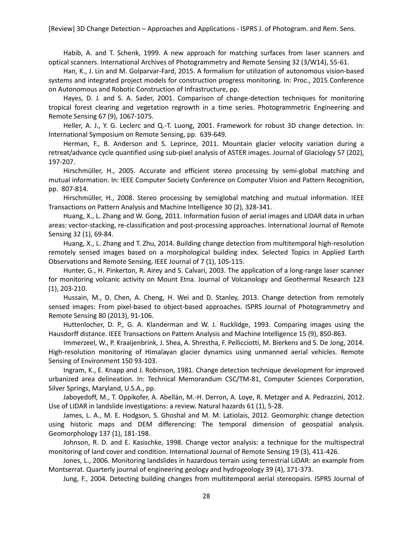<span id="page-27-5"></span>Habib, A. and T. Schenk, 1999. A new approach for matching surfaces from laser scanners and optical scanners. International Archives of Photogrammetry and Remote Sensing 32 (3/W14), 55-61.

<span id="page-27-16"></span>Han, K., J. Lin and M. Golparvar-Fard, 2015. A formalism for utilization of autonomous vision-based systems and integrated project models for construction progress monitoring. In: Proc., 2015 Conference on Autonomous and Robotic Construction of Infrastructure, pp.

<span id="page-27-0"></span>Hayes, D. J. and S. A. Sader, 2001. Comparison of change-detection techniques for monitoring tropical forest clearing and vegetation regrowth in a time series. Photogrammetric Engineering and Remote Sensing 67 (9), 1067-1075.

<span id="page-27-7"></span>Heller, A. J., Y. G. Leclerc and Q.-T. Luong, 2001. Framework for robust 3D change detection. In: International Symposium on Remote Sensing, pp. 639-649.

<span id="page-27-14"></span>Herman, F., B. Anderson and S. Leprince, 2011. Mountain glacier velocity variation during a retreat/advance cycle quantified using sub-pixel analysis of ASTER images. Journal of Glaciology 57 (202), 197-207.

<span id="page-27-4"></span>Hirschmüller, H., 2005. Accurate and efficient stereo processing by semi-global matching and mutual information. In: IEEE Computer Society Conference on Computer Vision and Pattern Recognition, pp. 807-814.

<span id="page-27-9"></span>Hirschmüller, H., 2008. Stereo processing by semiglobal matching and mutual information. IEEE Transactions on Pattern Analysis and Machine Intelligence 30 (2), 328-341.

<span id="page-27-12"></span>Huang, X., L. Zhang and W. Gong, 2011. Information fusion of aerial images and LIDAR data in urban areas: vector-stacking, re-classification and post-processing approaches. International Journal of Remote Sensing 32 (1), 69-84.

<span id="page-27-2"></span>Huang, X., L. Zhang and T. Zhu, 2014. Building change detection from multitemporal high-resolution remotely sensed images based on a morphological building index. Selected Topics in Applied Earth Observations and Remote Sensing, IEEE Journal of 7 (1), 105-115.

<span id="page-27-13"></span>Hunter, G., H. Pinkerton, R. Airey and S. Calvari, 2003. The application of a long-range laser scanner for monitoring volcanic activity on Mount Etna. Journal of Volcanology and Geothermal Research 123 (1), 203-210.

<span id="page-27-3"></span>Hussain, M., D. Chen, A. Cheng, H. Wei and D. Stanley, 2013. Change detection from remotely sensed images: From pixel-based to object-based approaches. ISPRS Journal of Photogrammetry and Remote Sensing 80 (2013), 91-106.

<span id="page-27-8"></span>Huttenlocher, D. P., G. A. Klanderman and W. J. Rucklidge, 1993. Comparing images using the Hausdorff distance. IEEE Transactions on Pattern Analysis and Machine Intelligence 15 (9), 850-863.

<span id="page-27-15"></span>Immerzeel, W., P. Kraaijenbrink, J. Shea, A. Shrestha, F. Pellicciotti, M. Bierkens and S. De Jong, 2014. High-resolution monitoring of Himalayan glacier dynamics using unmanned aerial vehicles. Remote Sensing of Environment 150 93-103.

<span id="page-27-1"></span>Ingram, K., E. Knapp and J. Robinson, 1981. Change detection technique development for improved urbanized area delineation. In: Technical Memorandum CSC/TM-81, Computer Sciences Corporation, Silver Springs, Maryland, U.S.A., pp.

<span id="page-27-18"></span>Jaboyedoff, M., T. Oppikofer, A. Abellán, M.-H. Derron, A. Loye, R. Metzger and A. Pedrazzini, 2012. Use of LIDAR in landslide investigations: a review. Natural hazards 61 (1), 5-28.

<span id="page-27-10"></span>James, L. A., M. E. Hodgson, S. Ghoshal and M. M. Latiolais, 2012. Geomorphic change detection using historic maps and DEM differencing: The temporal dimension of geospatial analysis. Geomorphology 137 (1), 181-198.

<span id="page-27-11"></span>Johnson, R. D. and E. Kasischke, 1998. Change vector analysis: a technique for the multispectral monitoring of land cover and condition. International Journal of Remote Sensing 19 (3), 411-426.

<span id="page-27-17"></span>Jones, L., 2006. Monitoring landslides in hazardous terrain using terrestrial LiDAR: an example from Montserrat. Quarterly journal of engineering geology and hydrogeology 39 (4), 371-373.

<span id="page-27-6"></span>Jung, F., 2004. Detecting building changes from multitemporal aerial stereopairs. ISPRS Journal of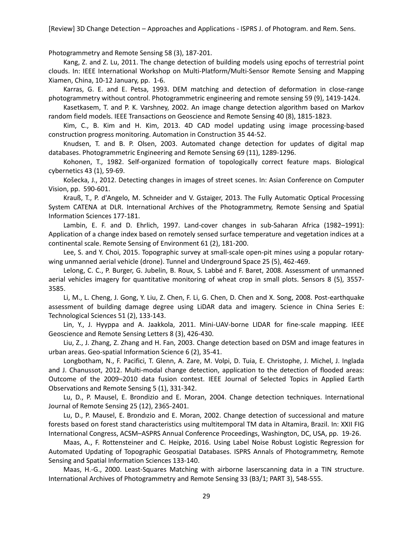Photogrammetry and Remote Sensing 58 (3), 187-201.

<span id="page-28-10"></span>Kang, Z. and Z. Lu, 2011. The change detection of building models using epochs of terrestrial point clouds. In: IEEE International Workshop on Multi-Platform/Multi-Sensor Remote Sensing and Mapping Xiamen, China, 10-12 January, pp. 1-6.

<span id="page-28-6"></span>Karras, G. E. and E. Petsa, 1993. DEM matching and detection of deformation in close-range photogrammetry without control. Photogrammetric engineering and remote sensing 59 (9), 1419-1424.

<span id="page-28-11"></span>Kasetkasem, T. and P. K. Varshney, 2002. An image change detection algorithm based on Markov random field models. IEEE Transactions on Geoscience and Remote Sensing 40 (8), 1815-1823.

<span id="page-28-0"></span>Kim, C., B. Kim and H. Kim, 2013. 4D CAD model updating using image processing-based construction progress monitoring. Automation in Construction 35 44-52.

<span id="page-28-8"></span>Knudsen, T. and B. P. Olsen, 2003. Automated change detection for updates of digital map databases. Photogrammetric Engineering and Remote Sensing 69 (11), 1289-1296.

<span id="page-28-13"></span>Kohonen, T., 1982. Self-organized formation of topologically correct feature maps. Biological cybernetics 43 (1), 59-69.

<span id="page-28-4"></span>Košecka, J., 2012. Detecting changes in images of street scenes. In: Asian Conference on Computer Vision, pp. 590-601.

<span id="page-28-5"></span>Krauß, T., P. d'Angelo, M. Schneider and V. Gstaiger, 2013. The Fully Automatic Optical Processing System CATENA at DLR. International Archives of the Photogrammetry, Remote Sensing and Spatial Information Sciences 177-181.

<span id="page-28-2"></span>Lambin, E. F. and D. Ehrlich, 1997. Land-cover changes in sub-Saharan Africa (1982–1991): Application of a change index based on remotely sensed surface temperature and vegetation indices at a continental scale. Remote Sensing of Environment 61 (2), 181-200.

<span id="page-28-17"></span>Lee, S. and Y. Choi, 2015. Topographic survey at small-scale open-pit mines using a popular rotarywing unmanned aerial vehicle (drone). Tunnel and Underground Space 25 (5), 462-469.

<span id="page-28-16"></span>Lelong, C. C., P. Burger, G. Jubelin, B. Roux, S. Labbé and F. Baret, 2008. Assessment of unmanned aerial vehicles imagery for quantitative monitoring of wheat crop in small plots. Sensors 8 (5), 3557- 3585.

<span id="page-28-14"></span>Li, M., L. Cheng, J. Gong, Y. Liu, Z. Chen, F. Li, G. Chen, D. Chen and X. Song, 2008. Post-earthquake assessment of building damage degree using LiDAR data and imagery. Science in China Series E: Technological Sciences 51 (2), 133-143.

<span id="page-28-18"></span>Lin, Y., J. Hyyppa and A. Jaakkola, 2011. Mini-UAV-borne LIDAR for fine-scale mapping. IEEE Geoscience and Remote Sensing Letters 8 (3), 426-430.

<span id="page-28-9"></span>Liu, Z., J. Zhang, Z. Zhang and H. Fan, 2003. Change detection based on DSM and image features in urban areas. Geo-spatial Information Science 6 (2), 35-41.

<span id="page-28-12"></span>Longbotham, N., F. Pacifici, T. Glenn, A. Zare, M. Volpi, D. Tuia, E. Christophe, J. Michel, J. Inglada and J. Chanussot, 2012. Multi-modal change detection, application to the detection of flooded areas: Outcome of the 2009–2010 data fusion contest. IEEE Journal of Selected Topics in Applied Earth Observations and Remote Sensing 5 (1), 331-342.

<span id="page-28-1"></span>Lu, D., P. Mausel, E. Brondizio and E. Moran, 2004. Change detection techniques. International Journal of Remote Sensing 25 (12), 2365-2401.

<span id="page-28-3"></span>Lu, D., P. Mausel, E. Brondızio and E. Moran, 2002. Change detection of successional and mature forests based on forest stand characteristics using multitemporal TM data in Altamira, Brazil. In: XXII FIG International Congress, ACSM–ASPRS Annual Conference Proceedings, Washington, DC, USA, pp. 19-26.

<span id="page-28-15"></span>Maas, A., F. Rottensteiner and C. Heipke, 2016. Using Label Noise Robust Logistic Regression for Automated Updating of Topographic Geospatial Databases. ISPRS Annals of Photogrammetry, Remote Sensing and Spatial Information Sciences 133-140.

<span id="page-28-7"></span>Maas, H.-G., 2000. Least-Squares Matching with airborne laserscanning data in a TIN structure. International Archives of Photogrammetry and Remote Sensing 33 (B3/1; PART 3), 548-555.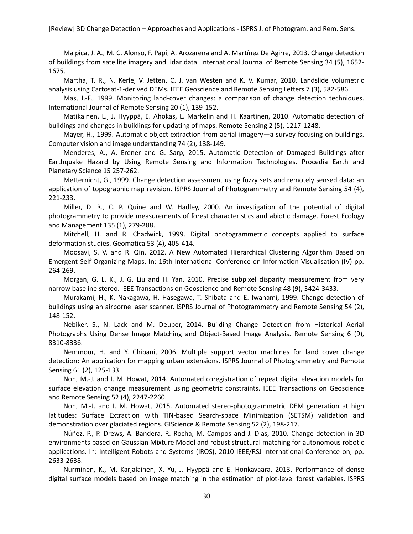<span id="page-29-17"></span>Malpica, J. A., M. C. Alonso, F. Papí, A. Arozarena and A. Martínez De Agirre, 2013. Change detection of buildings from satellite imagery and lidar data. International Journal of Remote Sensing 34 (5), 1652- 1675.

<span id="page-29-3"></span>Martha, T. R., N. Kerle, V. Jetten, C. J. van Westen and K. V. Kumar, 2010. Landslide volumetric analysis using Cartosat-1-derived DEMs. IEEE Geoscience and Remote Sensing Letters 7 (3), 582-586.

<span id="page-29-1"></span>Mas, J.-F., 1999. Monitoring land-cover changes: a comparison of change detection techniques. International Journal of Remote Sensing 20 (1), 139-152.

<span id="page-29-9"></span>Matikainen, L., J. Hyyppä, E. Ahokas, L. Markelin and H. Kaartinen, 2010. Automatic detection of buildings and changes in buildings for updating of maps. Remote Sensing 2 (5), 1217-1248.

<span id="page-29-14"></span>Mayer, H., 1999. Automatic object extraction from aerial imagery—a survey focusing on buildings. Computer vision and image understanding 74 (2), 138-149.

<span id="page-29-11"></span>Menderes, A., A. Erener and G. Sarp, 2015. Automatic Detection of Damaged Buildings after Earthquake Hazard by Using Remote Sensing and Information Technologies. Procedia Earth and Planetary Science 15 257-262.

<span id="page-29-2"></span>Metternicht, G., 1999. Change detection assessment using fuzzy sets and remotely sensed data: an application of topographic map revision. ISPRS Journal of Photogrammetry and Remote Sensing 54 (4), 221-233.

<span id="page-29-0"></span>Miller, D. R., C. P. Quine and W. Hadley, 2000. An investigation of the potential of digital photogrammetry to provide measurements of forest characteristics and abiotic damage. Forest Ecology and Management 135 (1), 279-288.

<span id="page-29-7"></span>Mitchell, H. and R. Chadwick, 1999. Digital photogrammetric concepts applied to surface deformation studies. Geomatica 53 (4), 405-414.

<span id="page-29-13"></span>Moosavi, S. V. and R. Qin, 2012. A New Automated Hierarchical Clustering Algorithm Based on Emergent Self Organizing Maps. In: 16th International Conference on Information Visualisation (IV) pp. 264-269.

<span id="page-29-6"></span>Morgan, G. L. K., J. G. Liu and H. Yan, 2010. Precise subpixel disparity measurement from very narrow baseline stereo. IEEE Transactions on Geoscience and Remote Sensing 48 (9), 3424-3433.

<span id="page-29-5"></span>Murakami, H., K. Nakagawa, H. Hasegawa, T. Shibata and E. Iwanami, 1999. Change detection of buildings using an airborne laser scanner. ISPRS Journal of Photogrammetry and Remote Sensing 54 (2), 148-152.

<span id="page-29-10"></span>Nebiker, S., N. Lack and M. Deuber, 2014. Building Change Detection from Historical Aerial Photographs Using Dense Image Matching and Object-Based Image Analysis. Remote Sensing 6 (9), 8310-8336.

<span id="page-29-8"></span>Nemmour, H. and Y. Chibani, 2006. Multiple support vector machines for land cover change detection: An application for mapping urban extensions. ISPRS Journal of Photogrammetry and Remote Sensing 61 (2), 125-133.

<span id="page-29-15"></span>Noh, M.-J. and I. M. Howat, 2014. Automated coregistration of repeat digital elevation models for surface elevation change measurement using geometric constraints. IEEE Transactions on Geoscience and Remote Sensing 52 (4), 2247-2260.

<span id="page-29-4"></span>Noh, M.-J. and I. M. Howat, 2015. Automated stereo-photogrammetric DEM generation at high latitudes: Surface Extraction with TIN-based Search-space Minimization (SETSM) validation and demonstration over glaciated regions. GIScience & Remote Sensing 52 (2), 198-217.

<span id="page-29-12"></span>Núñez, P., P. Drews, A. Bandera, R. Rocha, M. Campos and J. Dias, 2010. Change detection in 3D environments based on Gaussian Mixture Model and robust structural matching for autonomous robotic applications. In: Intelligent Robots and Systems (IROS), 2010 IEEE/RSJ International Conference on, pp. 2633-2638.

<span id="page-29-16"></span>Nurminen, K., M. Karjalainen, X. Yu, J. Hyyppä and E. Honkavaara, 2013. Performance of dense digital surface models based on image matching in the estimation of plot-level forest variables. ISPRS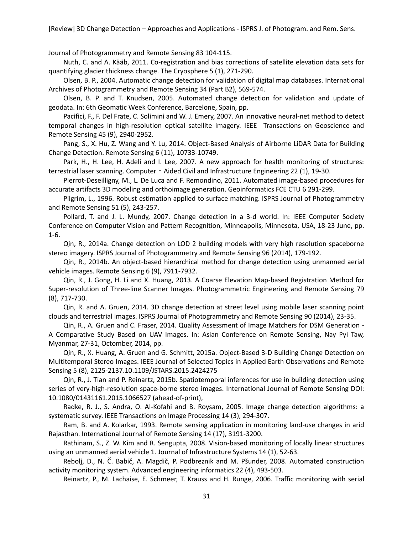Journal of Photogrammetry and Remote Sensing 83 104-115.

<span id="page-30-17"></span>Nuth, C. and A. Kääb, 2011. Co-registration and bias corrections of satellite elevation data sets for quantifying glacier thickness change. The Cryosphere 5 (1), 271-290.

<span id="page-30-15"></span>Olsen, B. P., 2004. Automatic change detection for validation of digital map databases. International Archives of Photogrammetry and Remote Sensing 34 (Part B2), 569-574.

<span id="page-30-16"></span>Olsen, B. P. and T. Knudsen, 2005. Automated change detection for validation and update of geodata. In: 6th Geomatic Week Conference, Barcelone, Spain, pp.

<span id="page-30-4"></span>Pacifici, F., F. Del Frate, C. Solimini and W. J. Emery, 2007. An innovative neural-net method to detect temporal changes in high-resolution optical satellite imagery. IEEE Transactions on Geoscience and Remote Sensing 45 (9), 2940-2952.

<span id="page-30-14"></span>Pang, S., X. Hu, Z. Wang and Y. Lu, 2014. Object-Based Analysis of Airborne LiDAR Data for Building Change Detection. Remote Sensing 6 (11), 10733-10749.

<span id="page-30-19"></span>Park, H., H. Lee, H. Adeli and I. Lee, 2007. A new approach for health monitoring of structures: terrestrial laser scanning. Computer - Aided Civil and Infrastructure Engineering 22 (1), 19-30.

<span id="page-30-5"></span>Pierrot-Deseilligny, M., L. De Luca and F. Remondino, 2011. Automated image-based procedures for accurate artifacts 3D modeling and orthoimage generation. Geoinformatics FCE CTU 6 291-299.

<span id="page-30-9"></span>Pilgrim, L., 1996. Robust estimation applied to surface matching. ISPRS Journal of Photogrammetry and Remote Sensing 51 (5), 243-257.

<span id="page-30-13"></span>Pollard, T. and J. L. Mundy, 2007. Change detection in a 3-d world. In: IEEE Computer Society Conference on Computer Vision and Pattern Recognition, Minneapolis, Minnesota, USA, 18-23 June, pp. 1-6.

<span id="page-30-8"></span>Qin, R., 2014a. Change detection on LOD 2 building models with very high resolution spaceborne stereo imagery. ISPRS Journal of Photogrammetry and Remote Sensing 96 (2014), 179-192.

<span id="page-30-7"></span>Qin, R., 2014b. An object-based hierarchical method for change detection using unmanned aerial vehicle images. Remote Sensing 6 (9), 7911-7932.

<span id="page-30-2"></span>Qin, R., J. Gong, H. Li and X. Huang, 2013. A Coarse Elevation Map-based Registration Method for Super-resolution of Three-line Scanner Images. Photogrammetric Engineering and Remote Sensing 79 (8), 717-730.

<span id="page-30-3"></span>Qin, R. and A. Gruen, 2014. 3D change detection at street level using mobile laser scanning point clouds and terrestrial images. ISPRS Journal of Photogrammetry and Remote Sensing 90 (2014), 23-35.

<span id="page-30-12"></span>Qin, R., A. Gruen and C. Fraser, 2014. Quality Assessment of Image Matchers for DSM Generation - A Comparative Study Based on UAV Images. In: Asian Conference on Remote Sensing, Nay Pyi Taw, Myanmar, 27-31, Octomber, 2014, pp.

<span id="page-30-11"></span>Qin, R., X. Huang, A. Gruen and G. Schmitt, 2015a. Object-Based 3-D Building Change Detection on Multitemporal Stereo Images. IEEE Journal of Selected Topics in Applied Earth Observations and Remote Sensing 5 (8), 2125-2137.10.1109/JSTARS.2015.2424275

<span id="page-30-6"></span>Qin, R., J. Tian and P. Reinartz, 2015b. Spatiotemporal inferences for use in building detection using series of very-high-resolution space-borne stereo images. International Journal of Remote Sensing DOI: 10.1080/01431161.2015.1066527 (ahead-of-print),

<span id="page-30-10"></span>Radke, R. J., S. Andra, O. Al-Kofahi and B. Roysam, 2005. Image change detection algorithms: a systematic survey. IEEE Transactions on Image Processing 14 (3), 294-307.

<span id="page-30-1"></span>Ram, B. and A. Kolarkar, 1993. Remote sensing application in monitoring land-use changes in arid Rajasthan. International Journal of Remote Sensing 14 (17), 3191-3200.

<span id="page-30-20"></span>Rathinam, S., Z. W. Kim and R. Sengupta, 2008. Vision-based monitoring of locally linear structures using an unmanned aerial vehicle 1. Journal of Infrastructure Systems 14 (1), 52-63.

<span id="page-30-0"></span>Rebolj, D., N. Č. Babič, A. Magdič, P. Podbreznik and M. Pšunder, 2008. Automated construction activity monitoring system. Advanced engineering informatics 22 (4), 493-503.

<span id="page-30-18"></span>Reinartz, P., M. Lachaise, E. Schmeer, T. Krauss and H. Runge, 2006. Traffic monitoring with serial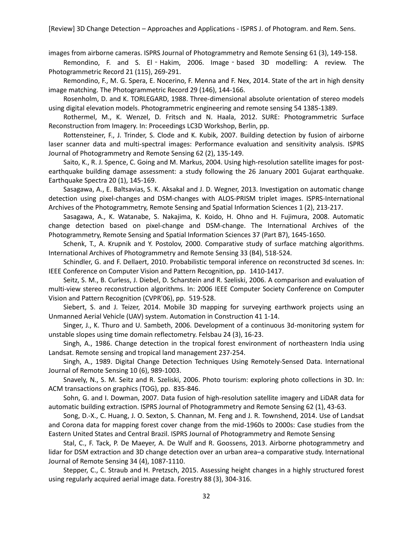images from airborne cameras. ISPRS Journal of Photogrammetry and Remote Sensing 61 (3), 149-158.

<span id="page-31-6"></span>Remondino, F. and S. El - Hakim, 2006. Image - based 3D modelling: A review. The Photogrammetric Record 21 (115), 269-291.

<span id="page-31-5"></span>Remondino, F., M. G. Spera, E. Nocerino, F. Menna and F. Nex, 2014. State of the art in high density image matching. The Photogrammetric Record 29 (146), 144-166.

<span id="page-31-11"></span>Rosenholm, D. and K. TORLEGARD, 1988. Three-dimensional absolute orientation of stereo models using digital elevation models. Photogrammetric engineering and remote sensing 54 1385-1389.

<span id="page-31-19"></span>Rothermel, M., K. Wenzel, D. Fritsch and N. Haala, 2012. SURE: Photogrammetric Surface Reconstruction from Imagery. In: Proceedings LC3D Workshop, Berlin, pp.

<span id="page-31-14"></span>Rottensteiner, F., J. Trinder, S. Clode and K. Kubik, 2007. Building detection by fusion of airborne laser scanner data and multi-spectral images: Performance evaluation and sensitivity analysis. ISPRS Journal of Photogrammetry and Remote Sensing 62 (2), 135-149.

<span id="page-31-1"></span>Saito, K., R. J. Spence, C. Going and M. Markus, 2004. Using high-resolution satellite images for postearthquake building damage assessment: a study following the 26 January 2001 Gujarat earthquake. Earthquake Spectra 20 (1), 145-169.

<span id="page-31-9"></span>Sasagawa, A., E. Baltsavias, S. K. Aksakal and J. D. Wegner, 2013. Investigation on automatic change detection using pixel-changes and DSM-changes with ALOS-PRISM triplet images. ISPRS-International Archives of the Photogrammetry, Remote Sensing and Spatial Information Sciences 1 (2), 213-217.

<span id="page-31-13"></span>Sasagawa, A., K. Watanabe, S. Nakajima, K. Koido, H. Ohno and H. Fujimura, 2008. Automatic change detection based on pixel-change and DSM-change. The International Archives of the Photogrammetry, Remote Sensing and Spatial Information Sciences 37 (Part B7), 1645-1650.

<span id="page-31-8"></span>Schenk, T., A. Krupnik and Y. Postolov, 2000. Comparative study of surface matching algorithms. International Archives of Photogrammetry and Remote Sensing 33 (B4), 518-524.

<span id="page-31-12"></span>Schindler, G. and F. Dellaert, 2010. Probabilistic temporal inference on reconstructed 3d scenes. In: IEEE Conference on Computer Vision and Pattern Recognition, pp. 1410-1417.

<span id="page-31-7"></span>Seitz, S. M., B. Curless, J. Diebel, D. Scharstein and R. Szeliski, 2006. A comparison and evaluation of multi-view stereo reconstruction algorithms. In: 2006 IEEE Computer Society Conference on Computer Vision and Pattern Recognition (CVPR'06), pp. 519-528.

<span id="page-31-17"></span>Siebert, S. and J. Teizer, 2014. Mobile 3D mapping for surveying earthwork projects using an Unmanned Aerial Vehicle (UAV) system. Automation in Construction 41 1-14.

<span id="page-31-18"></span>Singer, J., K. Thuro and U. Sambeth, 2006. Development of a continuous 3d-monitoring system for unstable slopes using time domain reflectometry. Felsbau 24 (3), 16-23.

<span id="page-31-3"></span>Singh, A., 1986. Change detection in the tropical forest environment of northeastern India using Landsat. Remote sensing and tropical land management 237-254.

<span id="page-31-0"></span>Singh, A., 1989. Digital Change Detection Techniques Using Remotely-Sensed Data. International Journal of Remote Sensing 10 (6), 989-1003.

<span id="page-31-4"></span>Snavely, N., S. M. Seitz and R. Szeliski, 2006. Photo tourism: exploring photo collections in 3D. In: ACM transactions on graphics (TOG), pp. 835-846.

<span id="page-31-16"></span>Sohn, G. and I. Dowman, 2007. Data fusion of high-resolution satellite imagery and LiDAR data for automatic building extraction. ISPRS Journal of Photogrammetry and Remote Sensing 62 (1), 43-63.

<span id="page-31-2"></span>Song, D.-X., C. Huang, J. O. Sexton, S. Channan, M. Feng and J. R. Townshend, 2014. Use of Landsat and Corona data for mapping forest cover change from the mid-1960s to 2000s: Case studies from the Eastern United States and Central Brazil. ISPRS Journal of Photogrammetry and Remote Sensing

<span id="page-31-10"></span>Stal, C., F. Tack, P. De Maeyer, A. De Wulf and R. Goossens, 2013. Airborne photogrammetry and lidar for DSM extraction and 3D change detection over an urban area–a comparative study. International Journal of Remote Sensing 34 (4), 1087-1110.

<span id="page-31-15"></span>Stepper, C., C. Straub and H. Pretzsch, 2015. Assessing height changes in a highly structured forest using regularly acquired aerial image data. Forestry 88 (3), 304-316.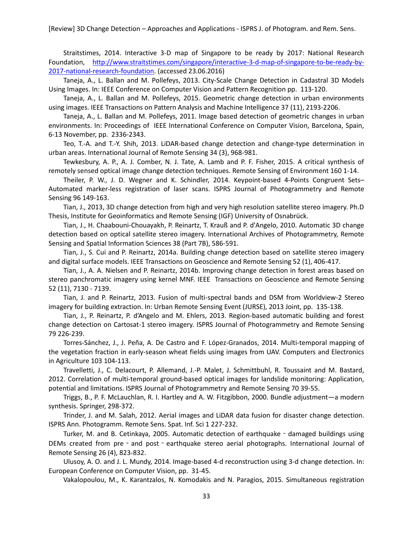<span id="page-32-19"></span>Straitstimes, 2014. Interactive 3-D map of Singapore to be ready by 2017: National Research Foundation, [http://www.straitstimes.com/singapore/interactive](http://www.straitstimes.com/singapore/interactive-3-d-map-of-singapore-to-be-ready-by-2017-national-research-foundation)-3-d-map-of-singapore-to-be-ready-by-2017-national-research-[foundation.](http://www.straitstimes.com/singapore/interactive-3-d-map-of-singapore-to-be-ready-by-2017-national-research-foundation) (accessed 23.06.2016)

<span id="page-32-9"></span>Taneja, A., L. Ballan and M. Pollefeys, 2013. City-Scale Change Detection in Cadastral 3D Models Using Images. In: IEEE Conference on Computer Vision and Pattern Recognition pp. 113-120.

<span id="page-32-16"></span>Taneja, A., L. Ballan and M. Pollefeys, 2015. Geometric change detection in urban environments using images. IEEE Transactions on Pattern Analysis and Machine Intelligence 37 (11), 2193-2206.

<span id="page-32-10"></span>Taneja, A., L. Ballan and M. Pollefeys, 2011. Image based detection of geometric changes in urban environments. In: Proceedings of IEEE International Conference on Computer Vision, Barcelona, Spain, 6-13 November, pp. 2336-2343.

<span id="page-32-17"></span>Teo, T.-A. and T.-Y. Shih, 2013. LiDAR-based change detection and change-type determination in urban areas. International Journal of Remote Sensing 34 (3), 968-981.

<span id="page-32-1"></span>Tewkesbury, A. P., A. J. Comber, N. J. Tate, A. Lamb and P. F. Fisher, 2015. A critical synthesis of remotely sensed optical image change detection techniques. Remote Sensing of Environment 160 1-14.

<span id="page-32-6"></span>Theiler, P. W., J. D. Wegner and K. Schindler, 2014. Keypoint-based 4-Points Congruent Sets– Automated marker-less registration of laser scans. ISPRS Journal of Photogrammetry and Remote Sensing 96 149-163.

<span id="page-32-12"></span>Tian, J., 2013, 3D change detection from high and very high resolution satellite stereo imagery. Ph.D Thesis, Institute for Geoinformatics and Remote Sensing (IGF) University of Osnabrück.

<span id="page-32-7"></span>Tian, J., H. Chaabouni-Chouayakh, P. Reinartz, T. Krauß and P. d'Angelo, 2010. Automatic 3D change detection based on optical satellite stereo imagery. International Archives of Photogrammetry, Remote Sensing and Spatial Information Sciences 38 (Part 7B), 586-591.

<span id="page-32-13"></span>Tian, J., S. Cui and P. Reinartz, 2014a. Building change detection based on satellite stereo imagery and digital surface models. IEEE Transactions on Geoscience and Remote Sensing 52 (1), 406-417.

<span id="page-32-3"></span>Tian, J., A. A. Nielsen and P. Reinartz, 2014b. Improving change detection in forest areas based on stereo panchromatic imagery using kernel MNF. IEEE Transactions on Geoscience and Remote Sensing 52 (11), 7130 - 7139.

<span id="page-32-8"></span>Tian, J. and P. Reinartz, 2013. Fusion of multi-spectral bands and DSM from Worldview-2 Stereo imagery for building extraction. In: Urban Remote Sensing Event (JURSE), 2013 Joint, pp. 135-138.

<span id="page-32-4"></span>Tian, J., P. Reinartz, P. d'Angelo and M. Ehlers, 2013. Region-based automatic building and forest change detection on Cartosat-1 stereo imagery. ISPRS Journal of Photogrammetry and Remote Sensing 79 226-239.

<span id="page-32-0"></span>Torres-Sánchez, J., J. Peña, A. De Castro and F. López-Granados, 2014. Multi-temporal mapping of the vegetation fraction in early-season wheat fields using images from UAV. Computers and Electronics in Agriculture 103 104-113.

<span id="page-32-18"></span>Travelletti, J., C. Delacourt, P. Allemand, J.-P. Malet, J. Schmittbuhl, R. Toussaint and M. Bastard, 2012. Correlation of multi-temporal ground-based optical images for landslide monitoring: Application, potential and limitations. ISPRS Journal of Photogrammetry and Remote Sensing 70 39-55.

<span id="page-32-5"></span>Triggs, B., P. F. McLauchlan, R. I. Hartley and A. W. Fitzgibbon, 2000. Bundle adjustment—a modern synthesis. Springer, 298-372.

<span id="page-32-14"></span>Trinder, J. and M. Salah, 2012. Aerial images and LiDAR data fusion for disaster change detection. ISPRS Ann. Photogramm. Remote Sens. Spat. Inf. Sci 1 227-232.

<span id="page-32-15"></span>Turker, M. and B. Cetinkaya, 2005. Automatic detection of earthquake - damaged buildings using DEMs created from pre - and post - earthquake stereo aerial photographs. International Journal of Remote Sensing 26 (4), 823-832.

<span id="page-32-11"></span>Ulusoy, A. O. and J. L. Mundy, 2014. Image-based 4-d reconstruction using 3-d change detection. In: European Conference on Computer Vision, pp. 31-45.

<span id="page-32-2"></span>Vakalopoulou, M., K. Karantzalos, N. Komodakis and N. Paragios, 2015. Simultaneous registration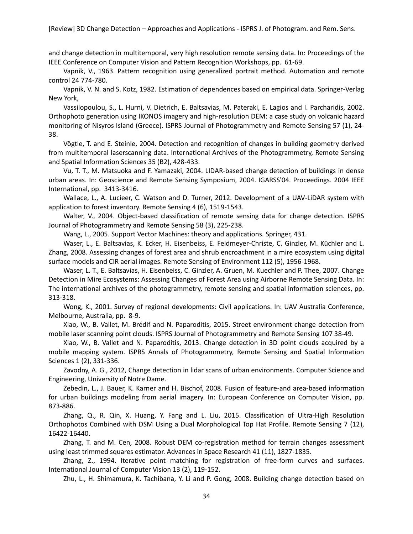and change detection in multitemporal, very high resolution remote sensing data. In: Proceedings of the IEEE Conference on Computer Vision and Pattern Recognition Workshops, pp. 61-69.

<span id="page-33-13"></span>Vapnik, V., 1963. Pattern recognition using generalized portrait method. Automation and remote control 24 774-780.

<span id="page-33-14"></span>Vapnik, V. N. and S. Kotz, 1982. Estimation of dependences based on empirical data. Springer-Verlag New York,

<span id="page-33-16"></span>Vassilopoulou, S., L. Hurni, V. Dietrich, E. Baltsavias, M. Pateraki, E. Lagios and I. Parcharidis, 2002. Orthophoto generation using IKONOS imagery and high-resolution DEM: a case study on volcanic hazard monitoring of Nisyros Island (Greece). ISPRS Journal of Photogrammetry and Remote Sensing 57 (1), 24- 38.

<span id="page-33-15"></span>Vögtle, T. and E. Steinle, 2004. Detection and recognition of changes in building geometry derived from multitemporal laserscanning data. International Archives of the Photogrammetry, Remote Sensing and Spatial Information Sciences 35 (B2), 428-433.

<span id="page-33-6"></span>Vu, T. T., M. Matsuoka and F. Yamazaki, 2004. LIDAR-based change detection of buildings in dense urban areas. In: Geoscience and Remote Sensing Symposium, 2004. IGARSS'04. Proceedings. 2004 IEEE International, pp. 3413-3416.

<span id="page-33-18"></span>Wallace, L., A. Lucieer, C. Watson and D. Turner, 2012. Development of a UAV-LiDAR system with application to forest inventory. Remote Sensing 4 (6), 1519-1543.

<span id="page-33-11"></span>Walter, V., 2004. Object-based classification of remote sensing data for change detection. ISPRS Journal of Photogrammetry and Remote Sensing 58 (3), 225-238.

Wang, L., 2005. Support Vector Machines: theory and applications. Springer, 431.

<span id="page-33-12"></span><span id="page-33-1"></span>Waser, L., E. Baltsavias, K. Ecker, H. Eisenbeiss, E. Feldmeyer-Christe, C. Ginzler, M. Küchler and L. Zhang, 2008. Assessing changes of forest area and shrub encroachment in a mire ecosystem using digital surface models and CIR aerial images. Remote Sensing of Environment 112 (5), 1956-1968.

<span id="page-33-7"></span>Waser, L. T., E. Baltsavias, H. Eisenbeiss, C. Ginzler, A. Gruen, M. Kuechler and P. Thee, 2007. Change Detection in Mire Ecosystems: Assessing Changes of Forest Area using Airborne Remote Sensing Data. In: The international archives of the photogrammetry, remote sensing and spatial information sciences, pp. 313-318.

<span id="page-33-17"></span>Wong, K., 2001. Survey of regional developments: Civil applications. In: UAV Australia Conference, Melbourne, Australia, pp. 8-9.

<span id="page-33-0"></span>Xiao, W., B. Vallet, M. Brédif and N. Paparoditis, 2015. Street environment change detection from mobile laser scanning point clouds. ISPRS Journal of Photogrammetry and Remote Sensing 107 38-49.

<span id="page-33-8"></span>Xiao, W., B. Vallet and N. Paparoditis, 2013. Change detection in 3D point clouds acquired by a mobile mapping system. ISPRS Annals of Photogrammetry, Remote Sensing and Spatial Information Sciences 1 (2), 331-336.

<span id="page-33-9"></span>Zavodny, A. G., 2012, Change detection in lidar scans of urban environments. Computer Science and Engineering, University of Notre Dame.

<span id="page-33-5"></span>Zebedin, L., J. Bauer, K. Karner and H. Bischof, 2008. Fusion of feature-and area-based information for urban buildings modeling from aerial imagery. In: European Conference on Computer Vision, pp. 873-886.

<span id="page-33-4"></span>Zhang, Q., R. Qin, X. Huang, Y. Fang and L. Liu, 2015. Classification of Ultra-High Resolution Orthophotos Combined with DSM Using a Dual Morphological Top Hat Profile. Remote Sensing 7 (12), 16422-16440.

<span id="page-33-3"></span>Zhang, T. and M. Cen, 2008. Robust DEM co-registration method for terrain changes assessment using least trimmed squares estimator. Advances in Space Research 41 (11), 1827-1835.

<span id="page-33-2"></span>Zhang, Z., 1994. Iterative point matching for registration of free-form curves and surfaces. International Journal of Computer Vision 13 (2), 119-152.

<span id="page-33-10"></span>Zhu, L., H. Shimamura, K. Tachibana, Y. Li and P. Gong, 2008. Building change detection based on